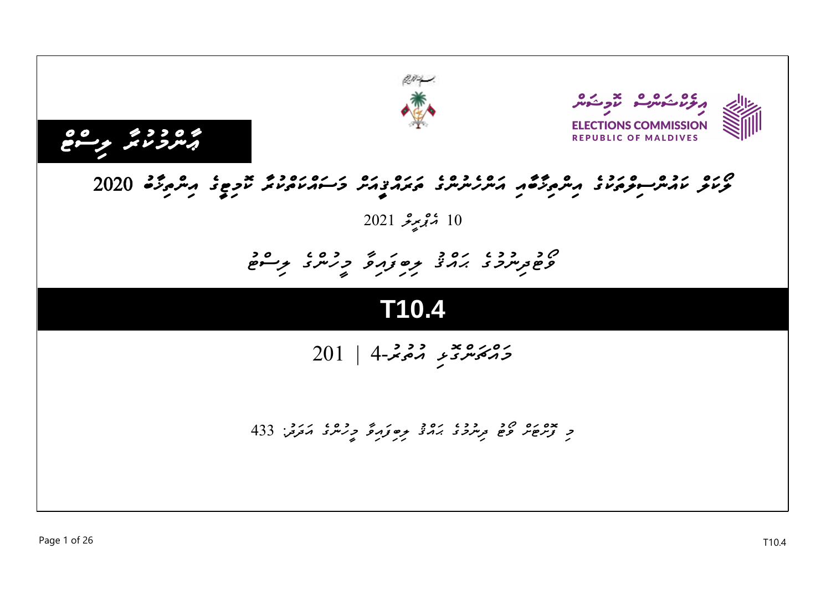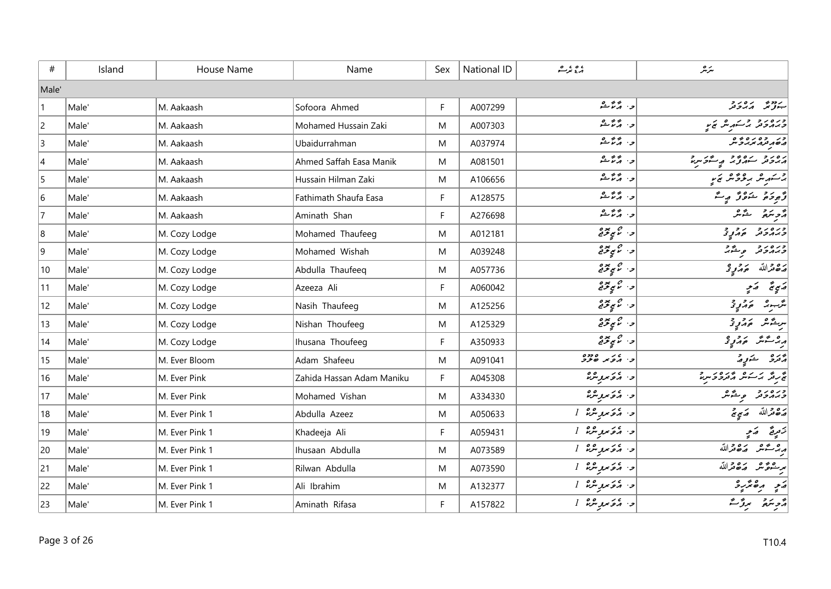| #              | Island | House Name     | Name                      | Sex | National ID | ، ه ، ره<br>د ، برگ                         | ىئرىتر                                                                                                         |
|----------------|--------|----------------|---------------------------|-----|-------------|---------------------------------------------|----------------------------------------------------------------------------------------------------------------|
| Male'          |        |                |                           |     |             |                                             |                                                                                                                |
|                | Male'  | M. Aakaash     | Sofoora Ahmed             | F   | A007299     | د به ژنگ شه                                 | سردور بره د و<br>سوتو بر مدرونر                                                                                |
| 2              | Male'  | M. Aakaash     | Mohamed Hussain Zaki      | M   | A007303     | د به ژنگ شد                                 | وره رو و حسکه شر می                                                                                            |
| $\vert$ 3      | Male'  | M. Aakaash     | Ubaidurrahman             | M   | A037974     | د به ژنگ شه                                 | כן כסנסטים<br>גםתמממיכית                                                                                       |
| $\overline{4}$ | Male'  | M. Aakaash     | Ahmed Saffah Easa Manik   | M   | A081501     | ى ئەڭ شە                                    | גפנק הפורה תייביתי                                                                                             |
| $\overline{5}$ | Male'  | M. Aakaash     | Hussain Hilman Zaki       | M   | A106656     | د به ژنگ شه                                 | ج سەر شەر بەلۇچ كەنتى ب                                                                                        |
| $\overline{6}$ | Male'  | M. Aakaash     | Fathimath Shaufa Easa     | F   | A128575     | د به ژنگ شد                                 | ژوده خوژ په                                                                                                    |
| 7              | Male'  | M. Aakaash     | Aminath Shan              | F   | A276698     | د به محمد شد                                | مُ حِسَمٌ شَمَّسٌ                                                                                              |
| 8              | Male'  | M. Cozy Lodge  | Mohamed Thaufeeg          | M   | A012181     | و . ر <sub>کا</sub> م پوه<br>و . رکام پوځ   | دره در در درو چ<br>  در مرح در مرکز تخ                                                                         |
| 9              | Male'  | M. Cozy Lodge  | Mohamed Wishah            | M   | A039248     | ح به منتج محرم حجم منتج<br>ح به منتج محرم ح | ورەرو بەشكە                                                                                                    |
| 10             | Male'  | M. Cozy Lodge  | Abdulla Thaufeeq          | M   | A057736     | و· رڻمي پره                                 | رە قراللە مەرىپى                                                                                               |
| 11             | Male'  | M. Cozy Lodge  | Azeeza Ali                | F   | A060042     | د . ر <sub>نگا پی</sub> رو<br>د . رنگا پی   | ړې د وه<br>دې وه د و                                                                                           |
| 12             | Male'  | M. Cozy Lodge  | Nasih Thaufeeg            | M   | A125256     | و به محموم محمده<br>مسلم محمد               |                                                                                                                |
| 13             | Male'  | M. Cozy Lodge  | Nishan Thoufeeg           | M   | A125329     | و به موجود کا                               | سرڪش ھرگرو گر                                                                                                  |
| 14             | Male'  | M. Cozy Lodge  | Ihusana Thoufeeg          | F   | A350933     | ح به منتج څر <sup>مي</sup>                  |                                                                                                                |
| 15             | Male'  | M. Ever Bloom  | Adam Shafeeu              | M   | A091041     |                                             | وره ختړله<br>م <sup>غر</sup> د ختړله                                                                           |
| 16             | Male'  | M. Ever Pink   | Zahida Hassan Adam Maniku | F   | A045308     | <sub>د م</sub> وتر برو شره                  | ة رقم بركبرة مدور المحمد المحمد المحمد المحمد المحمد المحمد المحمد المحمد المحمد المحمد المحمد المحمد المحمد ا |
| 17             | Male'  | M. Ever Pink   | Mohamed Vishan            | M   | A334330     | و· مگر معروض                                | ورەرو پەشر                                                                                                     |
| 18             | Male'  | M. Ever Pink 1 | Abdulla Azeez             | M   | A050633     | و· مۇمرىرىش 1                               | برة قرالله برسم قريب                                                                                           |
| 19             | Male'  | M. Ever Pink 1 | Khadeeja Ali              | F   | A059431     | و· مۇموسى شرىنا 1                           | تزمرق كالمحر                                                                                                   |
| 20             | Male'  | M. Ever Pink 1 | Ihusaan Abdulla           | M   | A073589     | د· مۇمومۇشقا 1                              | مدعية مقصرالله                                                                                                 |
| 21             | Male'  | M. Ever Pink 1 | Rilwan Abdulla            | M   | A073590     | د· مؤسوعة ا                                 | برشوشه كالصالة                                                                                                 |
| 22             | Male'  | M. Ever Pink 1 | Ali Ibrahim               | M   | A132377     | و ، مؤمومومثر ا                             | أموس مره مدرد                                                                                                  |
| 23             | Male'  | M. Ever Pink 1 | Aminath Rifasa            | F   | A157822     | و ، مۇمرىمىدىش 1                            | ۇرىتكى ئېرۇڭ                                                                                                   |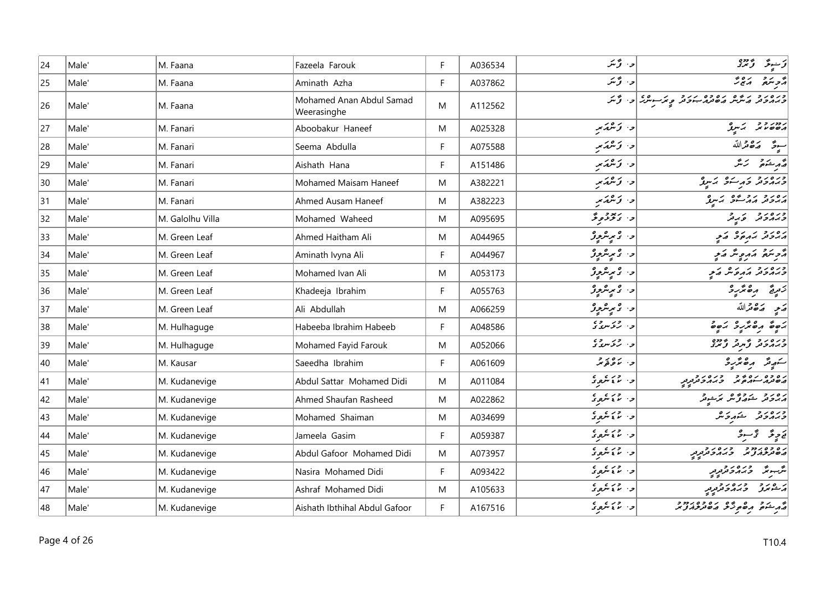| 24 | Male' | M. Faana         | Fazeela Farouk                          | F         | A036534 | د. ژَیَر                                             | ی دوہ<br>تر بحری<br>  تۇسىپۇ                    |
|----|-------|------------------|-----------------------------------------|-----------|---------|------------------------------------------------------|-------------------------------------------------|
| 25 | Male' | M. Faana         | Aminath Azha                            | F         | A037862 | د.   وَتكر                                           | أزويته أره و                                    |
| 26 | Male' | M. Faana         | Mohamed Anan Abdul Samad<br>Weerasinghe | M         | A112562 |                                                      |                                                 |
| 27 | Male' | M. Fanari        | Aboobakur Haneef                        | M         | A025328 | د· ئۇشمە <i>تىر</i>                                  | גמיני כי גיעל                                   |
| 28 | Male' | M. Fanari        | Seema Abdulla                           | F         | A075588 | د· ئۇنى <i>دىم</i>                                   | سوءً 125 هزالله                                 |
| 29 | Male' | M. Fanari        | Aishath Hana                            | F         | A151486 | <mark>ى ئەشمەتىر</mark>                              | أقرم شوهو الريمر                                |
| 30 | Male' | M. Fanari        | Mohamed Maisam Haneef                   | M         | A382221 | د· ئۇنىڭدىمبە                                        | ورەرو رەرىكى ئەير                               |
| 31 | Male' | M. Fanari        | Ahmed Ausam Haneef                      | M         | A382223 | د· ئەنتىدىمىيە                                       | رەر دىر دە ئەربۇ                                |
| 32 | Male' | M. Galolhu Villa | Mohamed Waheed                          | ${\sf M}$ | A095695 | <sub>و: ك</sub> وتۇھ <sub>ۇ</sub> ئە                 | ورەرو كەر                                       |
| 33 | Male' | M. Green Leaf    | Ahmed Haitham Ali                       | M         | A044965 | <sub>و</sub> . ، و <sub>مو</sub> يتر <sub>م</sub> ور | ره د د بر ده د کم                               |
| 34 | Male' | M. Green Leaf    | Aminath Ivyna Ali                       | F         | A044967 | <sub>و</sub> . ، و <sub>مو</sub> يتر پورو            |                                                 |
| 35 | Male' | M. Green Leaf    | Mohamed Ivan Ali                        | M         | A053173 | <sub>د</sub> . ، د بر بر <sub>مو</sub> و             |                                                 |
| 36 | Male' | M. Green Leaf    | Khadeeja Ibrahim                        | F         | A055763 | <sub>و</sub> . ، د <sub>مو</sub> يتر پورو            | كتبيعًا ومحتبرة                                 |
| 37 | Male' | M. Green Leaf    | Ali Abdullah                            | M         | A066259 | ر ، د پر پرېوژ                                       | أصوب مكافيها                                    |
| 38 | Male' | M. Hulhaguge     | Habeeba Ibrahim Habeeb                  | F         | A048586 | و . گوگسری و چ                                       | $rac{1}{2}$                                     |
| 39 | Male' | M. Hulhaguge     | Mohamed Fayid Farouk                    | ${\sf M}$ | A052066 | و . - ترکو سرچ کا                                    | כנסגב הייתור בינפס<br>כמהכנת תחנת תמצ           |
| 40 | Male' | M. Kausar        | Saeedha Ibrahim                         | F         | A061609 | رەر دەر<br>د ، ماھۇمىر                               | سَمرِينَ مِرْهِ مَرْرِدَ                        |
| 41 | Male' | M. Kudanevige    | Abdul Sattar Mohamed Didi               | M         | A011084 | د . مړنې عرو                                         | , ספס גם זיך פגם גבוער.<br>השנג הנגביג בגגבוענג |
| 42 | Male' | M. Kudanevige    | Ahmed Shaufan Rasheed                   | M         | A022862 | د . ري .<br>د . سي تر مور                            | رەر دېدۇرى كەشەد                                |
| 43 | Male' | M. Kudanevige    | Mohamed Shaiman                         | ${\sf M}$ | A034699 |                                                      | ورەرو خەرىكى                                    |
| 44 | Male' | M. Kudanevige    | Jameela Gasim                           | F         | A059387 |                                                      | لق حرقت المح سوقر                               |
| 45 | Male' | M. Kudanevige    | Abdul Gafoor Mohamed Didi               | M         | A073957 | د . مړۍ عوځ                                          |                                                 |
| 46 | Male' | M. Kudanevige    | Nasira Mohamed Didi                     | F         | A093422 | د ، لاءُ متبرة ،                                     | ر<br>سرجر ويروكورور<br>پروبرو ويروكورور         |
| 47 | Male' | M. Kudanevige    | Ashraf Mohamed Didi                     | M         | A105633 | وسي مي معرو                                          |                                                 |
| 48 | Male' | M. Kudanevige    | Aishath Ibthihal Abdul Gafoor           | F         | A167516 | د ، لاء مترو ځ                                       |                                                 |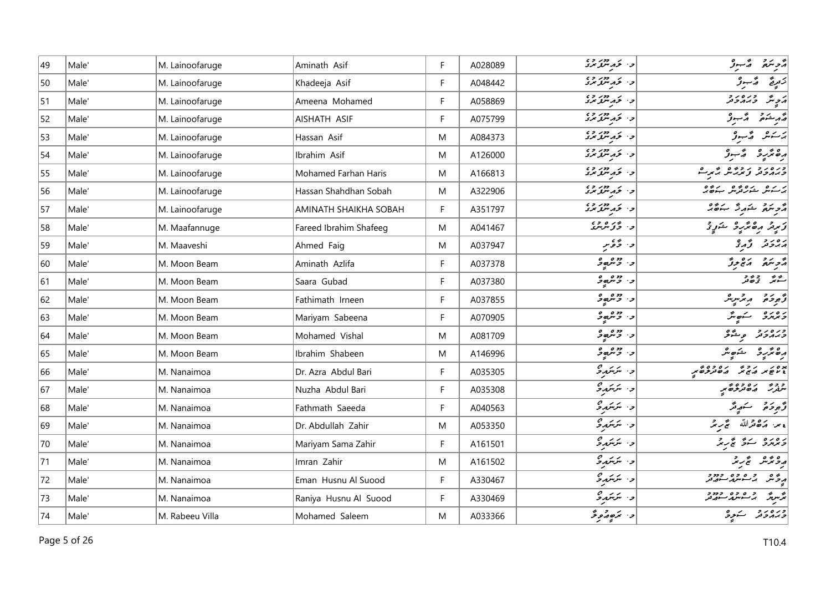| 49 | Male' | M. Lainoofaruge | Aminath Asif           | F  | A028089 | د ۰ د پر ترو د د د            | $\begin{array}{cc} 0 & \stackrel{a}{\sim} & \stackrel{a}{\sim} & \stackrel{a}{\sim} \\ \stackrel{a}{\sim} & & \stackrel{a}{\sim} & \stackrel{a}{\sim} \\ \stackrel{a}{\sim} & & \stackrel{a}{\sim} & \end{array}$ |
|----|-------|-----------------|------------------------|----|---------|-------------------------------|-------------------------------------------------------------------------------------------------------------------------------------------------------------------------------------------------------------------|
| 50 | Male' | M. Lainoofaruge | Khadeeja Asif          | F  | A048442 | د . نوم شور د ،               | تزمريح الأسوقر                                                                                                                                                                                                    |
| 51 | Male' | M. Lainoofaruge | Ameena Mohamed         | F  | A058869 | د ۰ د پر ترو د د د            | أرزحيته<br>و رە ر د<br>تر پر تر تر                                                                                                                                                                                |
| 52 | Male' | M. Lainoofaruge | AISHATH ASIF           | F. | A075799 | د ۰ کورمند کرد و ،            | وحمر يشكرخ ومحر يرومي                                                                                                                                                                                             |
| 53 | Male' | M. Lainoofaruge | Hassan Asif            | M  | A084373 | و که مرسور وی                 | برسك مدهور                                                                                                                                                                                                        |
| 54 | Male' | M. Lainoofaruge | Ibrahim Asif           | M  | A126000 | وستحار بين وي                 | رەپزىر پەيبى                                                                                                                                                                                                      |
| 55 | Male' | M. Lainoofaruge | Mohamed Farhan Haris   | M  | A166813 | د که شروع<br>د که شرکتر       | ورەر دېر دەر ئېرگ                                                                                                                                                                                                 |
| 56 | Male' | M. Lainoofaruge | Hassan Shahdhan Sobah  | M  | A322906 | و که میگریم                   | يُرَكَبُسُ شَرْكَةُ مِنْ رَبِينَ وَ                                                                                                                                                                               |
| 57 | Male' | M. Lainoofaruge | AMINATH SHAIKHA SOBAH  | F  | A351797 | و· ځه متنو بره                | أزويتم شركت بنقار                                                                                                                                                                                                 |
| 58 | Male' | M. Maafannuge   | Fareed Ibrahim Shafeeg | M  | A041467 | و . و د ه و ،<br>و . و تو سرس | ترىپەتر مەھەرىپەتى ھەرپى                                                                                                                                                                                          |
| 59 | Male' | M. Maaveshi     | Ahmed Faig             | M  | A037947 |                               | برەر دېم ئۇماق                                                                                                                                                                                                    |
| 60 | Male' | M. Moon Beam    | Aminath Azlifa         | F. | A037378 | د . ژمهور                     | أزويته أرجوق                                                                                                                                                                                                      |
| 61 | Male' | M. Moon Beam    | Saara Gubad            | F  | A037380 | و . و شهود                    | ر د د د د و د<br>سنگر او قانور                                                                                                                                                                                    |
| 62 | Male' | M. Moon Beam    | Fathimath Irneen       | F  | A037855 | د . ژمه هو                    | أقهوخاه المتحسب المحمد                                                                                                                                                                                            |
| 63 | Male' | M. Moon Beam    | Mariyam Sabeena        | F  | A070905 | و . و مرجو و                  | رەرە سەھەر                                                                                                                                                                                                        |
| 64 | Male' | M. Moon Beam    | Mohamed Vishal         | M  | A081709 | د . د مهود                    | ورەرو ھەيۋە<br><i>جەم</i> ەدىر ھەش <mark>ۇ</mark>                                                                                                                                                                 |
| 65 | Male' | M. Moon Beam    | Ibrahim Shabeen        | M  | A146996 | -<br> و· وسرچو                | رەنزىر ئىمەر                                                                                                                                                                                                      |
| 66 | Male' | M. Nanaimoa     | Dr. Azra Abdul Bari    | F  | A035305 | د. سَرْسَمْرِدْ               | צון גבל גוברים<br>גיעשיו היגיו הסתיבסיו                                                                                                                                                                           |
| 67 | Male' | M. Nanaimoa     | Nuzha Abdul Bari       | F. | A035308 | و· سَرْسَمْرِ وَ              | و وي ده وه وي.<br>سنترگ اړه ترڅه مړ                                                                                                                                                                               |
| 68 | Male' | M. Nanaimoa     | Fathmath Saeeda        | F  | A040563 | و. سكيتمبرد                   | قەردە سەربۇر                                                                                                                                                                                                      |
| 69 | Male' | M. Nanaimoa     | Dr. Abdullah Zahir     | M  | A053350 | و. سَرْسَمْر د                | ، مەھىراللە گەرلىر                                                                                                                                                                                                |
| 70 | Male' | M. Nanaimoa     | Mariyam Sama Zahir     | F  | A161501 | و. سكيترمر و                  | رەرە بەلا ئار                                                                                                                                                                                                     |
| 71 | Male' | M. Nanaimoa     | Imran Zahir            | M  | A161502 | و· سَرْسَمْرُدْ               | أروعر شي محر جر حر                                                                                                                                                                                                |
| 72 | Male' | M. Nanaimoa     | Eman Husnu Al Suood    | F  | A330467 | و. سكينمبرد                   | ورځش پر مشرور ورود                                                                                                                                                                                                |
| 73 | Male' | M. Nanaimoa     | Raniya Husnu Al Suood  | F  | A330469 | و. سَرْسَمْرُدْ               | بۇ بىرى <i>گە</i><br>و ۱۶۵۵ و دوو<br>بر کشمیر مسور تر                                                                                                                                                             |
| 74 | Male' | M. Rabeeu Villa | Mohamed Saleem         | M  | A033366 | د· ئۈچەرەپ<br>ئ               | ورەرو سەرو                                                                                                                                                                                                        |
|    |       |                 |                        |    |         |                               |                                                                                                                                                                                                                   |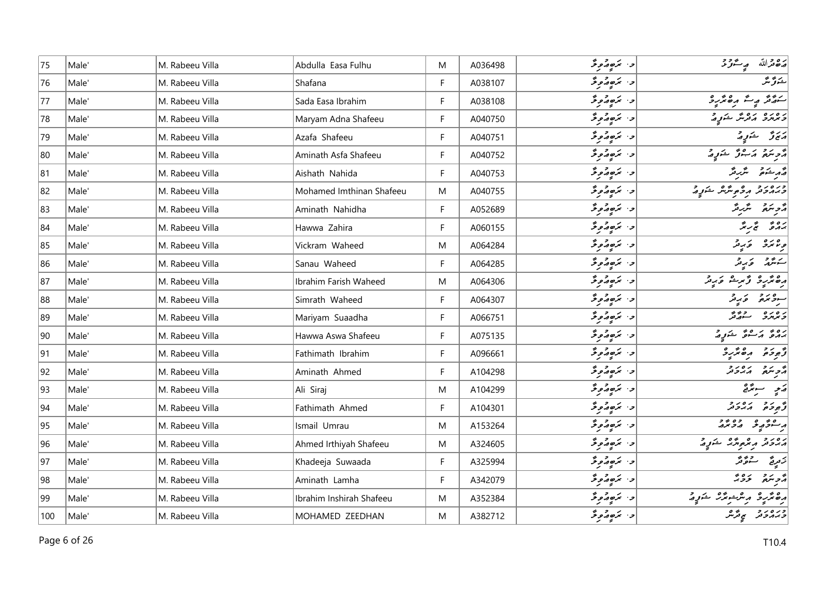| 75  | Male' | M. Rabeeu Villa | Abdulla Easa Fulhu       | M         | A036498 | د· ئۈچە ئوقر                        | ده مرالله به در در د       |
|-----|-------|-----------------|--------------------------|-----------|---------|-------------------------------------|----------------------------|
| 76  | Male' | M. Rabeeu Villa | Shafana                  | F         | A038107 | و· ئۈچەرگە                          | يئەقرىتىر                  |
| 77  | Male' | M. Rabeeu Villa | Sada Easa Ibrahim        | F         | A038108 | د· ئۈچە ئوقر                        | سوړيز په شه پره تدرد       |
| 78  | Male' | M. Rabeeu Villa | Maryam Adna Shafeeu      | F         | A040750 | د· ئۈچە ئوقر                        | ر ور و روبر ځوړه           |
| 79  | Male' | M. Rabeeu Villa | Azafa Shafeeu            | F         | A040751 | د· ئۈچەتموڭر                        | پر پر تر دید کے مقرر پر ا  |
| 80  | Male' | M. Rabeeu Villa | Aminath Asfa Shafeeu     | F         | A040752 | و· ئۈچەرقر                          | أأوسم أأراء والمسكور       |
| 81  | Male' | M. Rabeeu Villa | Aishath Nahida           | F         | A040753 | د· ئۈچەرىمۇ                         | أقرم يستوفر التقرير        |
| 82  | Male' | M. Rabeeu Villa | Mohamed Imthinan Shafeeu | M         | A040755 | و· ئۈەرمۇمۇ                         | ورەرو روموشر کشوړ          |
| 83  | Male' | M. Rabeeu Villa | Aminath Nahidha          | F         | A052689 | د· ئۈچە ئوقر                        | أأترجع التربين             |
| 84  | Male' | M. Rabeeu Villa | Hawwa Zahira             | F         | A060155 | د· ئۈچەتموڭر                        | برەپچە ستجارىتى            |
| 85  | Male' | M. Rabeeu Villa | Vickram Waheed           | M         | A064284 | د· ئۈچەتمونژ                        | وِ نَدْ نَدْرٌ<br>ءَ ٻريٽر |
| 86  | Male' | M. Rabeeu Villa | Sanau Waheed             | F         | A064285 | د· ئۈچەتمونژ                        | سەمىقە ھەمدىر              |
| 87  | Male' | M. Rabeeu Villa | Ibrahim Farish Waheed    | M         | A064306 | د برَجه ژوژ                         | رەترىرو ۋىرىش ۋىيىز        |
| 88  | Male' | M. Rabeeu Villa | Simrath Waheed           | F         | A064307 | د· ئۈچەرىمۇ                         | ده نه ته تورید             |
| 89  | Male' | M. Rabeeu Villa | Mariyam Suaadha          | F         | A066751 | د بر پره د و ژ                      | ر ہ رہ دی۔<br>وبوہوں سورتو |
| 90  | Male' | M. Rabeeu Villa | Hawwa Aswa Shafeeu       | F         | A075135 | و· ئۈچمۇمۇ                          | رەپ كەسىر شكرور            |
| 91  | Male' | M. Rabeeu Villa | Fathimath Ibrahim        | F         | A096661 | د· ئۈچەتموڭر                        | قبوخو مقترع                |
| 92  | Male' | M. Rabeeu Villa | Aminath Ahmed            | F         | A104298 | د· ئۈچەتموڭر                        | لأحرشه<br>پرورو            |
| 93  | Male' | M. Rabeeu Villa | Ali Siraj                | M         | A104299 | د· ئۈچەتمونژ                        | أوسمع سيتمرج               |
| 94  | Male' | M. Rabeeu Villa | Fathimath Ahmed          | F         | A104301 | د· ئۈچەتموڭر                        | قرجوحر مردور               |
| 95  | Male' | M. Rabeeu Villa | Ismail Umrau             | M         | A153264 | د بر پره د و ژ                      | ورعوج ومحمد                |
| 96  | Male' | M. Rabeeu Villa | Ahmed Irthiyah Shafeeu   | M         | A324605 | د بر پره د و ژ                      | גפנד גילקיציר בון ב        |
| 97  | Male' | M. Rabeeu Villa | Khadeeja Suwaada         | F         | A325994 | و· ئۈچمۇمۇ                          | كَتَمِيعٌ سُعْوَمٌ         |
| 98  | Male' | M. Rabeeu Villa | Aminath Lamha            | F         | A342079 | د· ئۈچە ئوقر                        | ړ پره ده پر                |
| 99  | Male' | M. Rabeeu Villa | Ibrahim Inshirah Shafeeu | M         | A352384 | <sub>و</sub> . ئ <sub>ەھ</sub> مۇمۇ | رەترىر رىرىدىر خور         |
| 100 | Male' | M. Rabeeu Villa | MOHAMED ZEEDHAN          | ${\sf M}$ | A382712 | و· ئۈچەر ئوڭر                       | ورەر ئە ئەر                |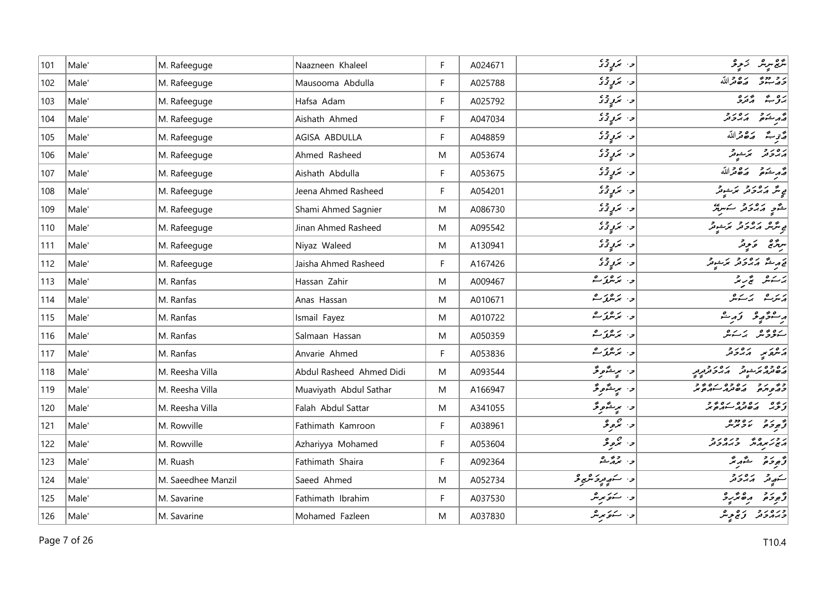| 101 | Male' | M. Rafeeguge       | Naazneen Khaleel         | F         | A024671 | و، ئىزى <sub>ر</sub> ئىتى                                                                                                                                                                                                       | شەيرىش ئەيۋ                                                                                           |
|-----|-------|--------------------|--------------------------|-----------|---------|---------------------------------------------------------------------------------------------------------------------------------------------------------------------------------------------------------------------------------|-------------------------------------------------------------------------------------------------------|
| 102 | Male' | M. Rafeeguge       | Mausooma Abdulla         | F         | A025788 | وستمرونونو                                                                                                                                                                                                                      | حديد حديد الله                                                                                        |
| 103 | Male' | M. Rafeeguge       | Hafsa Adam               | F         | A025792 | و . مَرُوٍ <sup>و</sup> َ دُ                                                                                                                                                                                                    | پروٹ پر پر و                                                                                          |
| 104 | Male' | M. Rafeeguge       | Aishath Ahmed            | F         | A047034 | وستمرونونو                                                                                                                                                                                                                      | أحمد شده و المردح                                                                                     |
| 105 | Male' | M. Rafeeguge       | AGISA ABDULLA            | F         | A048859 | د · مَرَوٍ وَ دَ                                                                                                                                                                                                                | أشتوبة ضصقرالله                                                                                       |
| 106 | Male' | M. Rafeeguge       | Ahmed Rasheed            | M         | A053674 | د سروره د د کار د کار کار د کار د کار د کار د کار د کار د کار د کار د کار د کار د کار د کار د کار د کار د کار<br>مرکز کار د کار د کار د کار د کار د کار د کار د کار د کار د کار د کار د کار د کار د کار د کار د کار د کار د کار | ره ر و محمد محرک در در این محمد است.<br>  در برای محمد به این محمد است است.                           |
| 107 | Male' | M. Rafeeguge       | Aishath Abdulla          | F         | A053675 | د . مَرَوٍ پ <sup>و</sup> ءَ                                                                                                                                                                                                    | أشربت منصرالله                                                                                        |
| 108 | Male' | M. Rafeeguge       | Jeena Ahmed Rasheed      | F         | A054201 | وستمرونونو                                                                                                                                                                                                                      | ا <sub>م</sub> ح مگر برگرد برشونر<br>امح مگر برگرفتر امریکی                                           |
| 109 | Male' | M. Rafeeguge       | Shami Ahmed Sagnier      | ${\sf M}$ | A086730 | د · برَوٍ دٌ دُ                                                                                                                                                                                                                 | كشمي ورود و كرسرى                                                                                     |
| 110 | Male' | M. Rafeeguge       | Jinan Ahmed Rasheed      | ${\sf M}$ | A095542 | د سر پړتو د                                                                                                                                                                                                                     | مِی شَرَیْر کَرَ کَرَ سَرِ سَرِ مِرْ کَرَ مِی سَرِ مِرْ کَرْ کَرْ مِی مِرْ کَرْ کُرْ کُرْ کُرْ کُرْ ک |
| 111 | Male' | M. Rafeeguge       | Niyaz Waleed             | M         | A130941 | وستمري توتو                                                                                                                                                                                                                     | سريده وَمِيد                                                                                          |
| 112 | Male' | M. Rafeeguge       | Jaisha Ahmed Rasheed     | F         | A167426 | د سروپوځ                                                                                                                                                                                                                        | ر<br>ج مرسم مرکز در مرسوم                                                                             |
| 113 | Male' | M. Ranfas          | Hassan Zahir             | M         | A009467 | و· ئۈشۇر ھ                                                                                                                                                                                                                      | ىز سەنتىر ئ <sub>ىچ س</sub> ەنتى                                                                      |
| 114 | Male' | M. Ranfas          | Anas Hassan              | ${\sf M}$ | A010671 | ى ئە ئىرىشۇرىشە                                                                                                                                                                                                                 | ئەنگەرىكە ئەسكەنلەر                                                                                   |
| 115 | Male' | M. Ranfas          | Ismail Fayez             | ${\sf M}$ | A010722 | ى ئىر ئىرى <i>گە</i>                                                                                                                                                                                                            | أرسفة ويؤد وترسش                                                                                      |
| 116 | Male' | M. Ranfas          | Salmaan Hassan           | ${\sf M}$ | A050359 | ى ئىر ئىرىگە ئەسىر                                                                                                                                                                                                              | شوۋىر برىير                                                                                           |
| 117 | Male' | M. Ranfas          | Anvarie Ahmed            | F         | A053836 | ى ئەنگەر ھ                                                                                                                                                                                                                      | أرموس بره رو                                                                                          |
| 118 | Male' | M. Reesha Villa    | Abdul Rasheed Ahmed Didi | M         | A093544 | و. مرِڪُوتَرُ                                                                                                                                                                                                                   | ره وه ترشوتر مسرکر ترتربر<br>پره ترپر ترشوتر مرکز ترتربر                                              |
| 119 | Male' | M. Reesha Villa    | Muaviyath Abdul Sathar   | M         | A166947 | و. مړينمونځ                                                                                                                                                                                                                     |                                                                                                       |
| 120 | Male' | M. Reesha Villa    | Falah Abdul Sattar       | M         | A341055 | <sub>و</sub> . برِيشُورُدُ                                                                                                                                                                                                      | ر ده ده ده ده در د                                                                                    |
| 121 | Male' | M. Rowville        | Fathimath Kamroon        | F         | A038961 | د . مگروگر                                                                                                                                                                                                                      | أو د د ده ده و                                                                                        |
| 122 | Male' | M. Rowville        | Azhariyya Mohamed        | F         | A053604 | - محموقر                                                                                                                                                                                                                        | גיגנית בגתכת                                                                                          |
| 123 | Male' | M. Ruash           | Fathimath Shaira         | F         | A092364 | و به مرگر شو                                                                                                                                                                                                                    | أرْجوحَ مُحَمَّدٍ مُحَمَّدٍ مُحَمَّدٍ مِنْ                                                            |
| 124 | Male' | M. Saeedhee Manzil | Saeed Ahmed              | M         | A052734 | ى سىمەمدىرىگىرىمى<br>مە                                                                                                                                                                                                         | سَهِيعٌ در در د                                                                                       |
| 125 | Male' | M. Savarine        | Fathimath Ibrahim        | F         | A037530 | <i>و. سەھەي</i> رىش                                                                                                                                                                                                             | أزودة مقتررة                                                                                          |
| 126 | Male' | M. Savarine        | Mohamed Fazleen          | ${\sf M}$ | A037830 | ى سەئەسىرىش                                                                                                                                                                                                                     | ورەرو زەيرىر                                                                                          |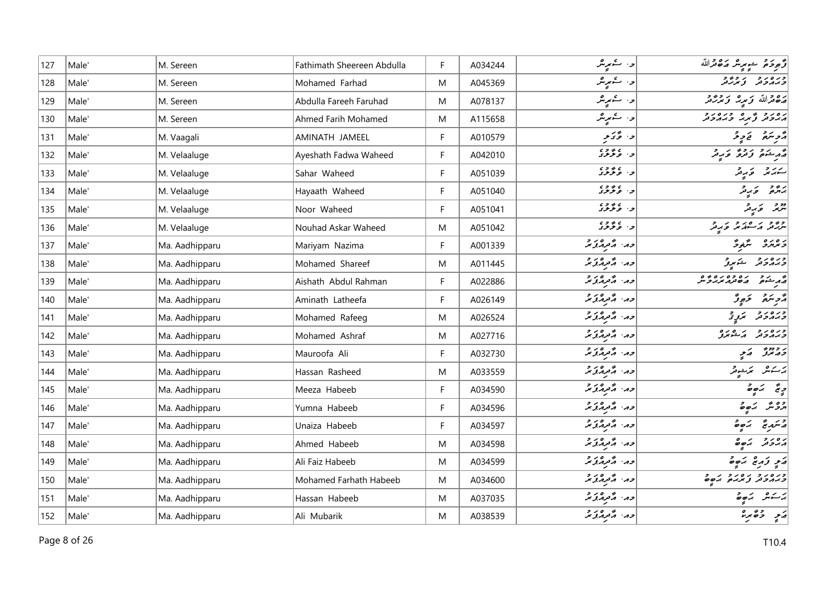| 127 | Male' | M. Sereen      | Fathimath Sheereen Abdulla | F | A034244 | د. سنگم پیشر                         | قرموحي سوبينك وكافترالله                   |
|-----|-------|----------------|----------------------------|---|---------|--------------------------------------|--------------------------------------------|
| 128 | Male' | M. Sereen      | Mohamed Farhad             | M | A045369 | <br> د· سکمپیش                       | وره رو د ودو.<br>د پر پر و تر پر           |
| 129 | Male' | M. Sereen      | Abdulla Fareeh Faruhad     | M | A078137 | <sub>و</sub> . س <sup>ی</sup> مبریٹر | أرەقراللە ئرىرچە ئەمرىكىد                  |
| 130 | Male' | M. Sereen      | Ahmed Farih Mohamed        | M | A115658 | د. سگېږينز                           | גם גב ביני בגבבים גב<br>גבבית נציקה בגבבית |
| 131 | Male' | M. Vaagali     | AMINATH JAMEEL             | F | A010579 | و· وُدَمِ                            | أأترجم فأولج                               |
| 132 | Male' | M. Velaaluge   | Ayeshath Fadwa Waheed      | F | A042010 | ه ۱۰ و و <i>ه</i><br>و اگر گروی      | ه در در در در در در در در در در است.       |
| 133 | Male' | M. Velaaluge   | Sahar Waheed               | F | A051039 | ه ۱۵ وه<br>و۰ وگروی                  | كەندىق ئەرىتر                              |
| 134 | Male' | M. Velaaluge   | Hayaath Waheed             | F | A051040 | ه ۱۵ وه<br>و۰ وگروی                  | ر دو در د                                  |
| 135 | Male' | M. Velaaluge   | Noor Waheed                | F | A051041 | ه ۱۰ و و ۵<br>و ۱۰ د تونوی           | لتربر وكرير                                |
| 136 | Male' | M. Velaaluge   | Nouhad Askar Waheed        | M | A051042 | ه ۱۰ و و ۵<br>و ۱ لوگوی              | כפר מסמק ממילי                             |
| 137 | Male' | Ma. Aadhipparu | Mariyam Nazima             | F | A001339 | در گرم در                            | رەرە شەۋ                                   |
| 138 | Male' | Ma. Aadhipparu | Mohamed Shareef            | M | A011445 | در مگرمگر د                          | ورەرو شەرد                                 |
| 139 | Male' | Ma. Aadhipparu | Aishath Abdul Rahman       | F | A022886 | ور مورون                             |                                            |
| 140 | Male' | Ma. Aadhipparu | Aminath Latheefa           | F | A026149 | בו. ה" <i>ת</i> חר צ'יל              | أأزجر سكم والمحافية وأحمر                  |
| 141 | Male' | Ma. Aadhipparu | Mohamed Rafeeg             | M | A026524 | وړ٠ م <sup>5</sup> مرم ور د          | دره رو د هرید و                            |
| 142 | Male' | Ma. Aadhipparu | Mohamed Ashraf             | M | A027716 | در گرمرگر د                          | ورەرو كەشەرە                               |
| 143 | Male' | Ma. Aadhipparu | Mauroofa Ali               | F | A032730 | در گ <sup>و</sup> رگرفته             | د د دوم په کړې په                          |
| 144 | Male' | Ma. Aadhipparu | Hassan Rasheed             | M | A033559 | در رمورونو                           | ىزىكەش ئىزىشىق                             |
| 145 | Male' | Ma. Aadhipparu | Meeza Habeeb               | F | A034590 | در مگرمگر د                          | $rac{2}{\pi}$ $rac{2}{\pi}$                |
| 146 | Male' | Ma. Aadhipparu | Yumna Habeeb               | F | A034596 | وړ٠ م <sup>5</sup> مرم ور و          | $500 - 200$                                |
| 147 | Male' | Ma. Aadhipparu | Unaiza Habeeb              | F | A034597 | בו ה" בנה ב"ב                        | $rac{3}{2}$                                |
| 148 | Male' | Ma. Aadhipparu | Ahmed Habeeb               | M | A034598 | وړ٠ م <sup>5</sup> مرم ور و          | رەر بەھ                                    |
| 149 | Male' | Ma. Aadhipparu | Ali Faiz Habeeb            | M | A034599 | در گرم در                            | ړنې زړې په په                              |
| 150 | Male' | Ma. Aadhipparu | Mohamed Farhath Habeeb     | M | A034600 | در رمورونو                           |                                            |
| 151 | Male' | Ma. Aadhipparu | Hassan Habeeb              | M | A037035 | در گرمرو تر                          | يُرَ سَوَسَى بِرَجِعَةِ                    |
| 152 | Male' | Ma. Aadhipparu | Ali Mubarik                | M | A038539 | وړ٠ م <sup>5</sup> مرم ور و          | $rac{1}{2}$                                |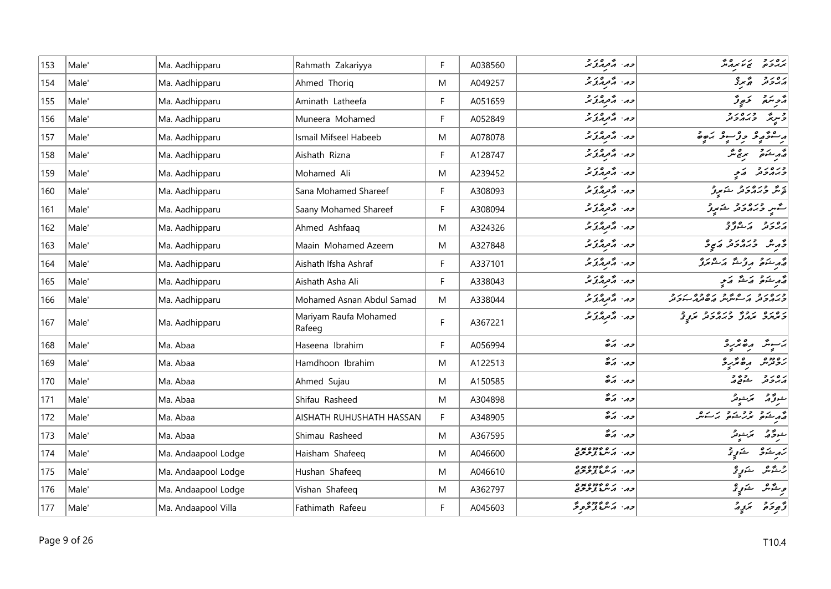| 153 | Male' | Ma. Aadhipparu      | Rahmath Zakariyya               | F           | A038560 | در گرم در                                                                             | ر ه ر د<br>بربر <del>د</del> م<br>ىر ئەسىر بەر بىر<br>سى                                            |
|-----|-------|---------------------|---------------------------------|-------------|---------|---------------------------------------------------------------------------------------|-----------------------------------------------------------------------------------------------------|
| 154 | Male' | Ma. Aadhipparu      | Ahmed Thorig                    | M           | A049257 | وړ٠ م <sup>5</sup> مرم ور و                                                           | پر ژبخ تر<br>يج مرتح                                                                                |
| 155 | Male' | Ma. Aadhipparu      | Aminath Latheefa                | F           | A051659 | وړ٠ م <sup>5</sup> مرم ور و                                                           | أرمره<br>خبجوتر                                                                                     |
| 156 | Male' | Ma. Aadhipparu      | Muneera Mohamed                 | F           | A052849 | وړ٠ م <sup>5</sup> مرم ور و                                                           | ۇ سرىگە<br>و ره ر د<br><i>د ب</i> رگرفر                                                             |
| 157 | Male' | Ma. Aadhipparu      | Ismail Mifseel Habeeb           | M           | A078078 | وړ٠ م <sup>5</sup> مرم ور و                                                           | ر مۇيەت دۇسۇ بەي                                                                                    |
| 158 | Male' | Ma. Aadhipparu      | Aishath Rizna                   | F           | A128747 | وړ٠ م <sup>5</sup> مرم ور و                                                           | ۇرمىنى ئىرى ئىر                                                                                     |
| 159 | Male' | Ma. Aadhipparu      | Mohamed Ali                     | M           | A239452 | وړ٠ م <sup>5</sup> مرم <u>ونو تر</u>                                                  | ورەر د كې                                                                                           |
| 160 | Male' | Ma. Aadhipparu      | Sana Mohamed Shareef            | $\mathsf F$ | A308093 | وړ٠ م <sup>5</sup> مرم <u>ونو تر</u>                                                  | ي ثم وره رو ڪي                                                                                      |
| 161 | Male' | Ma. Aadhipparu      | Saany Mohamed Shareef           | $\mathsf F$ | A308094 | وړ٠ مٌومرونو                                                                          | ش دره دو شهر                                                                                        |
| 162 | Male' | Ma. Aadhipparu      | Ahmed Ashfaaq                   | M           | A324326 | وړ٠ م <sup>5</sup> مرم ور و                                                           | رەرد رەۋ                                                                                            |
| 163 | Male' | Ma. Aadhipparu      | Maain Mohamed Azeem             | M           | A327848 | בו. ה"בהגב"ב                                                                          | و ده دره دره دره و در                                                                               |
| 164 | Male' | Ma. Aadhipparu      | Aishath Ifsha Ashraf            | F           | A337101 | وړ٠ م <sup>5</sup> مرم <u>ونو بر</u>                                                  | أقهر يشكم أمرق وتحافير                                                                              |
| 165 | Male' | Ma. Aadhipparu      | Aishath Asha Ali                | E           | A338043 | وړ٠ م <sup>5</sup> مرم <u>ونو تر</u>                                                  | مەر شىم كەن كەي                                                                                     |
| 166 | Male' | Ma. Aadhipparu      | Mohamed Asnan Abdul Samad       | M           | A338044 | در گرمرو تر تر                                                                        | وره ر و   ر   ه غ و   ره وه   ر ر و<br>و بربرو تر   بر سوسرس   پره تربر سوو تر                      |
| 167 | Male' | Ma. Aadhipparu      | Mariyam Raufa Mohamed<br>Rafeeg | F           | A367221 | در به ترور تر تر                                                                      | נסנס נכש כנסנכ הצגב.<br>כמחב המצ כממכנת הצגב                                                        |
| 168 | Male' | Ma. Abaa            | Haseena Ibrahim                 | F           | A056994 | $\stackrel{\ast}{\circ}$ $\stackrel{\ast}{\circ}$ $\cdot$ $\stackrel{\ast}{\circ}$    | برسوستر المره تربرد                                                                                 |
| 169 | Male' | Ma. Abaa            | Hamdhoon Ibrahim                | M           | A122513 | $\stackrel{\circ}{\circ}$ $\stackrel{\circ}{\circ}$ $\cdot$ $\stackrel{\circ}{\circ}$ | ەھ ئرىرى<br>ر ە دو ە                                                                                |
| 170 | Male' | Ma. Abaa            | Ahmed Sujau                     | M           | A150585 | $\stackrel{\circ}{\circ}$ $\stackrel{\circ}{\circ}$ $\cdot$ $\stackrel{\circ}{\circ}$ | ے جمعے در<br>ر ە ر د<br>م.ئر <del>ى</del> ر تر                                                      |
| 171 | Male' | Ma. Abaa            | Shifau Rasheed                  | M           | A304898 | ود که څ                                                                               | شووَّ مُرَشوقر                                                                                      |
| 172 | Male' | Ma. Abaa            | AISHATH RUHUSHATH HASSAN        | $\mathsf F$ | A348905 | وړ که ځ                                                                               | ەربەد دورىدو برىك                                                                                   |
| 173 | Male' | Ma. Abaa            | Shimau Rasheed                  | M           | A367595 | ود که څ                                                                               | جوگاھا - جرجو چر                                                                                    |
| 174 | Male' | Ma. Andaapool Lodge | Haisham Shafeeq                 | M           | A046600 | 0 x 0 >> 0 0 x<br>0 x 0 >> 0 x 1 x 7 0 x 7                                            | تأريخاف الحكم لمحمولة                                                                               |
| 175 | Male' | Ma. Andaapool Lodge | Hushan Shafeeq                  | M           | A046610 | ر ۵ بر ۵ بروه بره<br>د ۱۸ کامرغ بولولونو                                              | ح شر مشر و عندم الله عندم الله عن الله عن الله عن الله عن الله عن الله عن الله عن الله عن الله عن ا |
| 176 | Male' | Ma. Andaapool Lodge | Vishan Shafeeq                  | M           | A362797 | ر ده ۱۵۶۶ وروه<br>د د که سره بومونو                                                   | وڪَسُ ڪَپِرِ و                                                                                      |
| 177 | Male' | Ma. Andaapool Villa | Fathimath Rafeeu                | F           | A045603 | در . ر ۴۵۶۶۵ و گ                                                                      | رُّمِ دَمَ تَ تَرَرٍ مُ                                                                             |
|     |       |                     |                                 |             |         |                                                                                       |                                                                                                     |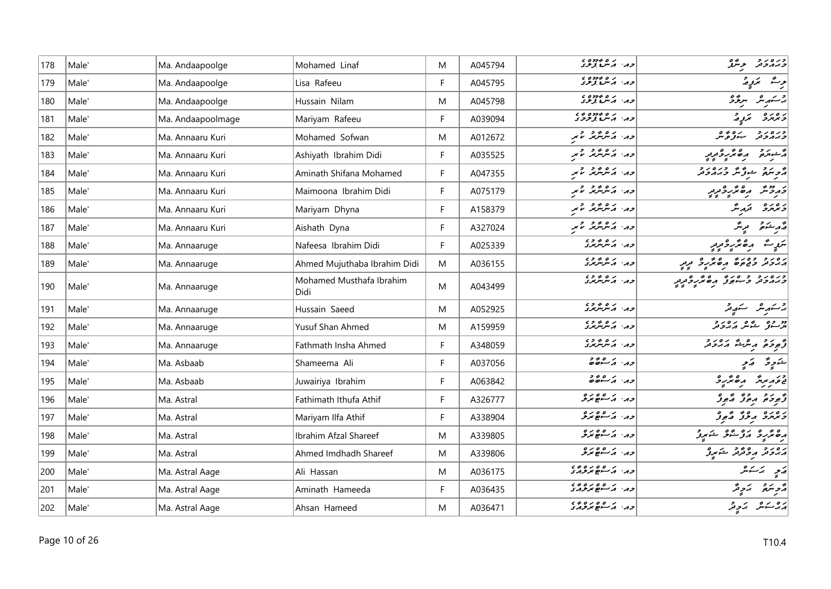| 178 | Male' | Ma. Andaapoolge   | Mohamed Linaf                    | M           | A045794 | وه ۱۰ شره ۱۵۶۶<br>ده ۱۰ شریع بودی              | ورەر وشۇ                                        |
|-----|-------|-------------------|----------------------------------|-------------|---------|------------------------------------------------|-------------------------------------------------|
| 179 | Male' | Ma. Andaapoolge   | Lisa Rafeeu                      | F           | A045795 | وه ۱۰ شروه بر<br>در ۱۰ شرع بومرد               | پرسم - سَرَوٍ مُ                                |
| 180 | Male' | Ma. Andaapoolge   | Hussain Nilam                    | M           | A045798 | ر ۵ ۶۶ شره ۵ ور ۵<br>د د ۱۰ سرع بوموړ          | يزخير شريحه                                     |
| 181 | Male' | Ma. Andaapoolmage | Mariyam Rafeeu                   | F           | A039094 | ر ۲۵۶۶۶۵ و ده<br>۳۸۶۶ و مرس بو بورس            | ر ه ر ه<br><del>ر</del> بربرگر<br>بخروج         |
| 182 | Male' | Ma. Annaaru Kuri  | Mohamed Sofwan                   | M           | A012672 | در مسر شده با بر                               | بەد ۋىيە<br>و ر ه ر د<br>تر پر تر تر            |
| 183 | Male' | Ma. Annaaru Kuri  | Ashiyath Ibrahim Didi            | F           | A035525 | دە. ئەش <i>رىڭ</i> ر ئاير                      | ە ھەترىر قرىر<br>رەھ ترىر قرىر<br>ر<br>در شوهره |
| 184 | Male' | Ma. Annaaru Kuri  | Aminath Shifana Mohamed          | F           | A047355 | ور ، رکورگر نامر                               | و در د در در در در در د                         |
| 185 | Male' | Ma. Annaaru Kuri  | Maimoona Ibrahim Didi            | F           | A075179 | ور ، رکورگر نامر                               | درده رهنر وسر                                   |
| 186 | Male' | Ma. Annaaru Kuri  | Mariyam Dhyna                    | $\mathsf F$ | A158379 | وړ٠ کمکرمتر لامړ                               | رەرە ئەرش                                       |
| 187 | Male' | Ma. Annaaru Kuri  | Aishath Dyna                     | F           | A327024 | وړ٠ رګرمګرند لامړ                              | وگهرڪو ورنگر                                    |
| 188 | Male' | Ma. Annaaruge     | Nafeesa Ibrahim Didi             | F           | A025339 | ת ח' ה' ייתונית בי ג'<br>כוזי ה' ייתונית בי ג' | بتريث رەئزىردىرىر                               |
| 189 | Male' | Ma. Annaaruge     | Ahmed Mujuthaba Ibrahim Didi     | M           | A036155 | ת ה- ה' ייתי ייתו ב- c<br>ת ה- ה' ייתי ייתי מב |                                                 |
| 190 | Male' | Ma. Annaaruge     | Mohamed Musthafa Ibrahim<br>Didi | M           | A043499 | وړ٠ رګرګرګرۍ                                   | وره رو و ه رو میگرد ویری                        |
| 191 | Male' | Ma. Annaaruge     | Hussain Saeed                    | M           | A052925 | בו המיטיבי                                     | چە سەر سىر سىر سىر بىر                          |
| 192 | Male' | Ma. Annaaruge     | Yusuf Shan Ahmed                 | M           | A159959 | בו. ה' ייתייתיות ב                             | دد وه شوه ره رو<br>در سوش شوش مربر و تر         |
| 193 | Male' | Ma. Annaaruge     | Fathmath Insha Ahmed             | F           | A348059 | ת ח' ה' ייתונית בי ג'<br>כוזי ה' ייתונית בי ג' | وتجوجهم مسرعة كالرومر                           |
| 194 | Male' | Ma. Asbaab        | Shameema Ali                     | $\mathsf F$ | A037056 | $\frac{200}{400}$ $\frac{200}{4}$              | خکام فرق اور مرکز کے ای                         |
| 195 | Male' | Ma. Asbaab        | Juwairiya Ibrahim                | F           | A063842 | 2801.12                                        | ومربرة مقتررة                                   |
| 196 | Male' | Ma. Astral        | Fathimath Ithufa Athif           | F           | A326777 | در . م <sup>ر</sup> مقيمة                      | ژوده معز مور                                    |
| 197 | Male' | Ma. Astral        | Mariyam Ilfa Athif               | F           | A338904 | در . م <sup>ر</sup> مؤتمر                      | وبممرد مرورٌ مُجورٌ                             |
| 198 | Male' | Ma. Astral        | Ibrahim Afzal Shareef            | M           | A339805 | در . ر <sub>َ</sub> سُوْءِ برو                 | رەپرىرە روشۇ خېرۇ                               |
| 199 | Male' | Ma. Astral        | Ahmed Imdhadh Shareef            | M           | A339806 | در . م <sup>ر</sup> مؤتمر                      | גפני הכניה ביתור                                |
| 200 | Male' | Ma. Astral Aage   | Ali Hassan                       | M           | A036175 |                                                | أەي ئەسەھ                                       |
| 201 | Male' | Ma. Astral Aage   | Aminath Hameeda                  | F           | A036435 |                                                | ړې سره پرېږ                                     |
| 202 | Male' | Ma. Astral Aage   | Ahsan Hameed                     | M           | A036471 |                                                | روے عمر اندو تر                                 |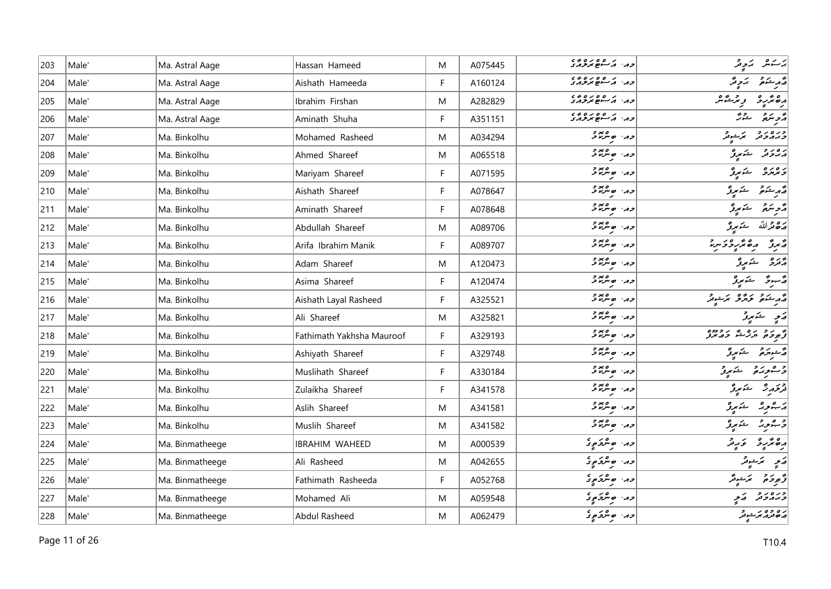| 204<br>Male'<br>Aishath Hameeda<br>F<br>A160124<br>Ma. Astral Aage<br>205<br>Ibrahim Firshan<br>A282829<br>Male'<br>Ma. Astral Aage<br>M<br>$\begin{array}{cc} c\leftrightarrow o\to o\circ\circ\\ s\to s\to e\to o\quad\wedge\circ\circ\circ \end{array}$<br>سترش<br>Aminath Shuha<br>F<br>206<br>Male'<br>A351151<br>Ma. Astral Aage<br>כני סייקע צ<br>207<br>Male'<br>Ma. Binkolhu<br>Mohamed Rasheed<br>A034294<br>M<br>כני סייקע צ<br>Male'<br>Ma. Binkolhu<br>Ahmed Shareef<br>A065518<br>208<br>M<br>כני סייקע צ<br>شەَ مېرىژ<br>F<br>209<br>Male'<br>Ma. Binkolhu<br>Mariyam Shareef<br>A071595<br>בני סייקע<br>F<br>Male'<br>Ma. Binkolhu<br>Aishath Shareef<br>A078647<br>210<br>כני סיתו צ<br>Male'<br>Ma. Binkolhu<br>Aminath Shareef<br>F<br>A078648<br>211<br>כגי סייקע צ<br>Abdullah Shareef<br>A089706<br>212<br>Male'<br>Ma. Binkolhu<br>M<br>ە ھەمگەر 25 سرىد<br>כני סיתנו ב<br>A089707<br>213<br>Male'<br>Ma. Binkolhu<br>Arifa Ibrahim Manik<br>F.<br>כני סיתו צ<br>ے مور <sup>9</sup><br>Adam Shareef<br>Ma. Binkolhu<br>A120473<br> 214<br>Male'<br>M<br>בני סייקות<br>Asima Shareef<br>F<br>Male'<br>Ma. Binkolhu<br>A120474<br>215<br>כני סייקע צ<br>Male'<br>Aishath Layal Rasheed<br>F.<br>A325521<br>216<br>Ma. Binkolhu<br>כני סיתמיל<br>Male'<br>Ma. Binkolhu<br>Ali Shareef<br>A325821<br>217<br>M<br>כני סיתו צ<br>$\mathsf F$<br>A329193<br>218<br>Male'<br>Ma. Binkolhu<br>Fathimath Yakhsha Mauroof<br>כומי שיתעית<br><i>ב</i> ומי שיתעיל<br>F.<br>A329748<br>219<br>Male'<br>Ma. Binkolhu<br>Ashiyath Shareef<br>כגי סייקע צ<br>Male'<br>Muslihath Shareef<br>A330184<br>220<br>Ma. Binkolhu<br>F.<br>בני סייקע<br>F.<br>A341578<br>221<br>Male'<br>Ma. Binkolhu<br>Zulaikha Shareef<br>ڪ مور <sup>9</sup><br>כני סיתו צ<br>Aslih Shareef<br>222<br>Male'<br>Ma. Binkolhu<br>A341581<br>M<br>כומי ים ייקע די<br>ڪ مور <sup>9</sup><br>223<br>Muslih Shareef<br>A341582<br>Male'<br>Ma. Binkolhu<br>M<br>حەر. ھەرچە ئى<br>224<br>Male'<br>Ma. Binmatheege<br><b>IBRAHIM WAHEED</b><br>A000539<br>M<br>حەر ئەھمىي ئە<br>225<br>Male'<br>Ali Rasheed<br>A042655<br>Ma. Binmatheege<br>M<br>  دړ٠ وه شرو <sub>و</sub> د<br>Male'<br>Fathimath Rasheeda<br>F.<br>A052768<br>226<br>Ma. Binmatheege<br>حەر. ھەيد <i>ە</i> ئ<br>Mohamed Ali<br>A059548<br>227<br>Male'<br>Ma. Binmatheege<br>M<br>رترمو<br>A062479<br>228<br>Male'<br>Ma. Binmatheege<br>Abdul Rasheed<br>M | 203 | Male' | Ma. Astral Aage | Hassan Hameed | M | A075445 | $\begin{array}{cc} c\leftrightarrow o\hspace{-.2cm}\rightarrow o\hspace{-.2cm}\rightarrow O\hspace{-.2cm}\rightarrow O\hspace{-.2cm}\rightarrow O\hspace{-.2cm}\rightarrow O\hspace{-.2cm}\rightarrow O\hspace{-.2cm}\rightarrow O\hspace{-.2cm}\rightarrow O\hspace{-.2cm}\rightarrow O\hspace{-.2cm}\rightarrow O\hspace{-.2cm}\rightarrow O\hspace{-.2cm}\rightarrow O\hspace{-.2cm}\rightarrow O\hspace{-.2cm}\rightarrow O\hspace{-.2cm}\rightarrow O\hspace{-.2cm}\rightarrow O\hspace{-.2cm}\rightarrow O\hspace{-.2cm}\rightarrow O\hspace{-.2cm}\rightarrow O\hspace{-.2cm}\rightarrow O\hspace{-.2cm}\rightarrow$ | پرستمبر   پرچمر                          |
|---------------------------------------------------------------------------------------------------------------------------------------------------------------------------------------------------------------------------------------------------------------------------------------------------------------------------------------------------------------------------------------------------------------------------------------------------------------------------------------------------------------------------------------------------------------------------------------------------------------------------------------------------------------------------------------------------------------------------------------------------------------------------------------------------------------------------------------------------------------------------------------------------------------------------------------------------------------------------------------------------------------------------------------------------------------------------------------------------------------------------------------------------------------------------------------------------------------------------------------------------------------------------------------------------------------------------------------------------------------------------------------------------------------------------------------------------------------------------------------------------------------------------------------------------------------------------------------------------------------------------------------------------------------------------------------------------------------------------------------------------------------------------------------------------------------------------------------------------------------------------------------------------------------------------------------------------------------------------------------------------------------------------------------------------------------------------------------------------------------------------------------------------------------------------------------------------------------------------------------------------------------------------------------------------------------------------------------------------------------------------------------------------------|-----|-------|-----------------|---------------|---|---------|-----------------------------------------------------------------------------------------------------------------------------------------------------------------------------------------------------------------------------------------------------------------------------------------------------------------------------------------------------------------------------------------------------------------------------------------------------------------------------------------------------------------------------------------------------------------------------------------------------------------------------|------------------------------------------|
|                                                                                                                                                                                                                                                                                                                                                                                                                                                                                                                                                                                                                                                                                                                                                                                                                                                                                                                                                                                                                                                                                                                                                                                                                                                                                                                                                                                                                                                                                                                                                                                                                                                                                                                                                                                                                                                                                                                                                                                                                                                                                                                                                                                                                                                                                                                                                                                                         |     |       |                 |               |   |         |                                                                                                                                                                                                                                                                                                                                                                                                                                                                                                                                                                                                                             | ړې شو پرېږ                               |
|                                                                                                                                                                                                                                                                                                                                                                                                                                                                                                                                                                                                                                                                                                                                                                                                                                                                                                                                                                                                                                                                                                                                                                                                                                                                                                                                                                                                                                                                                                                                                                                                                                                                                                                                                                                                                                                                                                                                                                                                                                                                                                                                                                                                                                                                                                                                                                                                         |     |       |                 |               |   |         |                                                                                                                                                                                                                                                                                                                                                                                                                                                                                                                                                                                                                             | رەترىر رىزىشىر                           |
|                                                                                                                                                                                                                                                                                                                                                                                                                                                                                                                                                                                                                                                                                                                                                                                                                                                                                                                                                                                                                                                                                                                                                                                                                                                                                                                                                                                                                                                                                                                                                                                                                                                                                                                                                                                                                                                                                                                                                                                                                                                                                                                                                                                                                                                                                                                                                                                                         |     |       |                 |               |   |         |                                                                                                                                                                                                                                                                                                                                                                                                                                                                                                                                                                                                                             | و څخه سرچ                                |
|                                                                                                                                                                                                                                                                                                                                                                                                                                                                                                                                                                                                                                                                                                                                                                                                                                                                                                                                                                                                                                                                                                                                                                                                                                                                                                                                                                                                                                                                                                                                                                                                                                                                                                                                                                                                                                                                                                                                                                                                                                                                                                                                                                                                                                                                                                                                                                                                         |     |       |                 |               |   |         |                                                                                                                                                                                                                                                                                                                                                                                                                                                                                                                                                                                                                             | ورەرو بەيدۇ                              |
|                                                                                                                                                                                                                                                                                                                                                                                                                                                                                                                                                                                                                                                                                                                                                                                                                                                                                                                                                                                                                                                                                                                                                                                                                                                                                                                                                                                                                                                                                                                                                                                                                                                                                                                                                                                                                                                                                                                                                                                                                                                                                                                                                                                                                                                                                                                                                                                                         |     |       |                 |               |   |         |                                                                                                                                                                                                                                                                                                                                                                                                                                                                                                                                                                                                                             | پرور خېږو                                |
|                                                                                                                                                                                                                                                                                                                                                                                                                                                                                                                                                                                                                                                                                                                                                                                                                                                                                                                                                                                                                                                                                                                                                                                                                                                                                                                                                                                                                                                                                                                                                                                                                                                                                                                                                                                                                                                                                                                                                                                                                                                                                                                                                                                                                                                                                                                                                                                                         |     |       |                 |               |   |         |                                                                                                                                                                                                                                                                                                                                                                                                                                                                                                                                                                                                                             | ر ه ر ه<br><del>ر</del> بربرگ            |
|                                                                                                                                                                                                                                                                                                                                                                                                                                                                                                                                                                                                                                                                                                                                                                                                                                                                                                                                                                                                                                                                                                                                                                                                                                                                                                                                                                                                                                                                                                                                                                                                                                                                                                                                                                                                                                                                                                                                                                                                                                                                                                                                                                                                                                                                                                                                                                                                         |     |       |                 |               |   |         |                                                                                                                                                                                                                                                                                                                                                                                                                                                                                                                                                                                                                             | ۇرمىشقى ھەمرۇ                            |
|                                                                                                                                                                                                                                                                                                                                                                                                                                                                                                                                                                                                                                                                                                                                                                                                                                                                                                                                                                                                                                                                                                                                                                                                                                                                                                                                                                                                                                                                                                                                                                                                                                                                                                                                                                                                                                                                                                                                                                                                                                                                                                                                                                                                                                                                                                                                                                                                         |     |       |                 |               |   |         |                                                                                                                                                                                                                                                                                                                                                                                                                                                                                                                                                                                                                             | أأترجم المتورد                           |
|                                                                                                                                                                                                                                                                                                                                                                                                                                                                                                                                                                                                                                                                                                                                                                                                                                                                                                                                                                                                                                                                                                                                                                                                                                                                                                                                                                                                                                                                                                                                                                                                                                                                                                                                                                                                                                                                                                                                                                                                                                                                                                                                                                                                                                                                                                                                                                                                         |     |       |                 |               |   |         |                                                                                                                                                                                                                                                                                                                                                                                                                                                                                                                                                                                                                             | أرة قرالله خوير                          |
|                                                                                                                                                                                                                                                                                                                                                                                                                                                                                                                                                                                                                                                                                                                                                                                                                                                                                                                                                                                                                                                                                                                                                                                                                                                                                                                                                                                                                                                                                                                                                                                                                                                                                                                                                                                                                                                                                                                                                                                                                                                                                                                                                                                                                                                                                                                                                                                                         |     |       |                 |               |   |         |                                                                                                                                                                                                                                                                                                                                                                                                                                                                                                                                                                                                                             | ەتىمىرىتى                                |
|                                                                                                                                                                                                                                                                                                                                                                                                                                                                                                                                                                                                                                                                                                                                                                                                                                                                                                                                                                                                                                                                                                                                                                                                                                                                                                                                                                                                                                                                                                                                                                                                                                                                                                                                                                                                                                                                                                                                                                                                                                                                                                                                                                                                                                                                                                                                                                                                         |     |       |                 |               |   |         |                                                                                                                                                                                                                                                                                                                                                                                                                                                                                                                                                                                                                             | پور ہ<br>پر تعری                         |
|                                                                                                                                                                                                                                                                                                                                                                                                                                                                                                                                                                                                                                                                                                                                                                                                                                                                                                                                                                                                                                                                                                                                                                                                                                                                                                                                                                                                                                                                                                                                                                                                                                                                                                                                                                                                                                                                                                                                                                                                                                                                                                                                                                                                                                                                                                                                                                                                         |     |       |                 |               |   |         |                                                                                                                                                                                                                                                                                                                                                                                                                                                                                                                                                                                                                             | ۇسىرۇ شكىرۇ                              |
|                                                                                                                                                                                                                                                                                                                                                                                                                                                                                                                                                                                                                                                                                                                                                                                                                                                                                                                                                                                                                                                                                                                                                                                                                                                                                                                                                                                                                                                                                                                                                                                                                                                                                                                                                                                                                                                                                                                                                                                                                                                                                                                                                                                                                                                                                                                                                                                                         |     |       |                 |               |   |         |                                                                                                                                                                                                                                                                                                                                                                                                                                                                                                                                                                                                                             | وأوجأهم كروفى برجيني                     |
|                                                                                                                                                                                                                                                                                                                                                                                                                                                                                                                                                                                                                                                                                                                                                                                                                                                                                                                                                                                                                                                                                                                                                                                                                                                                                                                                                                                                                                                                                                                                                                                                                                                                                                                                                                                                                                                                                                                                                                                                                                                                                                                                                                                                                                                                                                                                                                                                         |     |       |                 |               |   |         |                                                                                                                                                                                                                                                                                                                                                                                                                                                                                                                                                                                                                             | أتذموا المشتموقر                         |
|                                                                                                                                                                                                                                                                                                                                                                                                                                                                                                                                                                                                                                                                                                                                                                                                                                                                                                                                                                                                                                                                                                                                                                                                                                                                                                                                                                                                                                                                                                                                                                                                                                                                                                                                                                                                                                                                                                                                                                                                                                                                                                                                                                                                                                                                                                                                                                                                         |     |       |                 |               |   |         |                                                                                                                                                                                                                                                                                                                                                                                                                                                                                                                                                                                                                             | ه د د ده ده د دوه<br>ژبوده مرز شگ در برو |
|                                                                                                                                                                                                                                                                                                                                                                                                                                                                                                                                                                                                                                                                                                                                                                                                                                                                                                                                                                                                                                                                                                                                                                                                                                                                                                                                                                                                                                                                                                                                                                                                                                                                                                                                                                                                                                                                                                                                                                                                                                                                                                                                                                                                                                                                                                                                                                                                         |     |       |                 |               |   |         |                                                                                                                                                                                                                                                                                                                                                                                                                                                                                                                                                                                                                             | ۇشىركى شەيرۇ                             |
|                                                                                                                                                                                                                                                                                                                                                                                                                                                                                                                                                                                                                                                                                                                                                                                                                                                                                                                                                                                                                                                                                                                                                                                                                                                                                                                                                                                                                                                                                                                                                                                                                                                                                                                                                                                                                                                                                                                                                                                                                                                                                                                                                                                                                                                                                                                                                                                                         |     |       |                 |               |   |         |                                                                                                                                                                                                                                                                                                                                                                                                                                                                                                                                                                                                                             | وصورة المنابرة                           |
|                                                                                                                                                                                                                                                                                                                                                                                                                                                                                                                                                                                                                                                                                                                                                                                                                                                                                                                                                                                                                                                                                                                                                                                                                                                                                                                                                                                                                                                                                                                                                                                                                                                                                                                                                                                                                                                                                                                                                                                                                                                                                                                                                                                                                                                                                                                                                                                                         |     |       |                 |               |   |         |                                                                                                                                                                                                                                                                                                                                                                                                                                                                                                                                                                                                                             | نْرْحَمْرِدَّ شَمْرِرْ                   |
|                                                                                                                                                                                                                                                                                                                                                                                                                                                                                                                                                                                                                                                                                                                                                                                                                                                                                                                                                                                                                                                                                                                                                                                                                                                                                                                                                                                                                                                                                                                                                                                                                                                                                                                                                                                                                                                                                                                                                                                                                                                                                                                                                                                                                                                                                                                                                                                                         |     |       |                 |               |   |         |                                                                                                                                                                                                                                                                                                                                                                                                                                                                                                                                                                                                                             | وكبشعر                                   |
|                                                                                                                                                                                                                                                                                                                                                                                                                                                                                                                                                                                                                                                                                                                                                                                                                                                                                                                                                                                                                                                                                                                                                                                                                                                                                                                                                                                                                                                                                                                                                                                                                                                                                                                                                                                                                                                                                                                                                                                                                                                                                                                                                                                                                                                                                                                                                                                                         |     |       |                 |               |   |         |                                                                                                                                                                                                                                                                                                                                                                                                                                                                                                                                                                                                                             | ومبوري                                   |
|                                                                                                                                                                                                                                                                                                                                                                                                                                                                                                                                                                                                                                                                                                                                                                                                                                                                                                                                                                                                                                                                                                                                                                                                                                                                                                                                                                                                                                                                                                                                                                                                                                                                                                                                                                                                                                                                                                                                                                                                                                                                                                                                                                                                                                                                                                                                                                                                         |     |       |                 |               |   |         |                                                                                                                                                                                                                                                                                                                                                                                                                                                                                                                                                                                                                             | معتبرة كمبتر                             |
|                                                                                                                                                                                                                                                                                                                                                                                                                                                                                                                                                                                                                                                                                                                                                                                                                                                                                                                                                                                                                                                                                                                                                                                                                                                                                                                                                                                                                                                                                                                                                                                                                                                                                                                                                                                                                                                                                                                                                                                                                                                                                                                                                                                                                                                                                                                                                                                                         |     |       |                 |               |   |         |                                                                                                                                                                                                                                                                                                                                                                                                                                                                                                                                                                                                                             | كەن كەنشەتر<br>مۇ                        |
|                                                                                                                                                                                                                                                                                                                                                                                                                                                                                                                                                                                                                                                                                                                                                                                                                                                                                                                                                                                                                                                                                                                                                                                                                                                                                                                                                                                                                                                                                                                                                                                                                                                                                                                                                                                                                                                                                                                                                                                                                                                                                                                                                                                                                                                                                                                                                                                                         |     |       |                 |               |   |         |                                                                                                                                                                                                                                                                                                                                                                                                                                                                                                                                                                                                                             | تؤجوخا متمشيقه                           |
|                                                                                                                                                                                                                                                                                                                                                                                                                                                                                                                                                                                                                                                                                                                                                                                                                                                                                                                                                                                                                                                                                                                                                                                                                                                                                                                                                                                                                                                                                                                                                                                                                                                                                                                                                                                                                                                                                                                                                                                                                                                                                                                                                                                                                                                                                                                                                                                                         |     |       |                 |               |   |         |                                                                                                                                                                                                                                                                                                                                                                                                                                                                                                                                                                                                                             | و رە ر د<br><i>د بە</i> پەر              |
|                                                                                                                                                                                                                                                                                                                                                                                                                                                                                                                                                                                                                                                                                                                                                                                                                                                                                                                                                                                                                                                                                                                                                                                                                                                                                                                                                                                                                                                                                                                                                                                                                                                                                                                                                                                                                                                                                                                                                                                                                                                                                                                                                                                                                                                                                                                                                                                                         |     |       |                 |               |   |         |                                                                                                                                                                                                                                                                                                                                                                                                                                                                                                                                                                                                                             | ر ه وه ر<br>  پره تر پر شوتر             |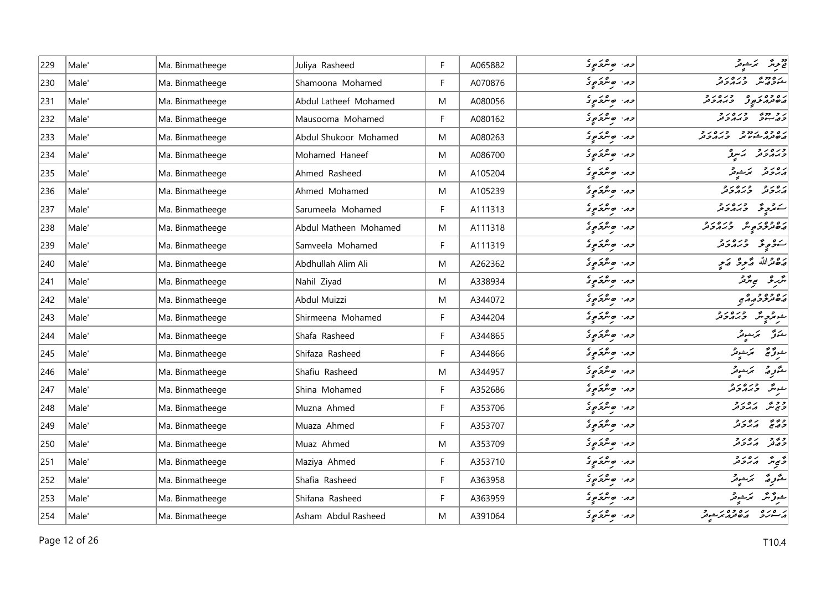| 229 | Male' | Ma. Binmatheege | Juliya Rasheed        | F           | A065882 | در. و شرق و د              | در پر کر شونر<br>محمر کر کر کے مق                            |
|-----|-------|-----------------|-----------------------|-------------|---------|----------------------------|--------------------------------------------------------------|
| 230 | Male' | Ma. Binmatheege | Shamoona Mohamed      | F           | A070876 | حەر. ھەرچە ئى              | ر و دور و ر و د و<br>شور پس کل تر بر امرو تر                 |
| 231 | Male' | Ma. Binmatheege | Abdul Latheef Mohamed | M           | A080056 | وړ٠ وه شر <sub>ونو ک</sub> | و ر ه ر و<br>تر پر ژ تر<br>ره وه د و<br>پره تر پر تر بو ژ    |
| 232 | Male' | Ma. Binmatheege | Mausooma Mohamed      | F           | A080162 | حەر. ھەيد <i>ە</i> ئ       | נכחו כנסנכ<br>כבי-יכ" במבע                                   |
| 233 | Male' | Ma. Binmatheege | Abdul Shukoor Mohamed | M           | A080263 | وړ٠ وه شر <sub>ونو ک</sub> | ره وه ردد و دره رو<br>پرهنرپر شونو کرد کر                    |
| 234 | Male' | Ma. Binmatheege | Mohamed Haneef        | M           | A086700 |                            | ورەرو ئەرو                                                   |
| 235 | Male' | Ma. Binmatheege | Ahmed Rasheed         | M           | A105204 | وړ٠ وه شر <sub>ونو ک</sub> | رەر ئەسىر<br>مەركى ئەسىر                                     |
| 236 | Male' | Ma. Binmatheege | Ahmed Mohamed         | M           | A105239 |                            | ג סגב בג סגב<br>הגבע בגהבע                                   |
| 237 | Male' | Ma. Binmatheege | Sarumeela Mohamed     | F           | A111313 | בו קייבקצ                  | הזקל בג'וני                                                  |
| 238 | Male' | Ma. Binmatheege | Abdul Matheen Mohamed | M           | A111318 | وړ٠ وه شر <sub>ونو ک</sub> | קס פסק סרים קרים קיבודי המודיק.<br>הסתיב בקיים המה בדיבודי ב |
| 239 | Male' | Ma. Binmatheege | Samveela Mohamed      | F           | A111319 | בו קייבקצ                  | شوه وبرەر د                                                  |
| 240 | Male' | Ma. Binmatheege | Abdhullah Alim Ali    | M           | A262362 | בו קייבקצ                  | مَدْهِ مِنْ اللَّهُ مَّرْدُ مَرْ                             |
| 241 | Male' | Ma. Binmatheege | Nahil Ziyad           | M           | A338934 | وړ٠ وه شره وي              | مدَّر و محمد م                                               |
| 242 | Male' | Ma. Binmatheege | Abdul Muizzi          | M           | A344072 | وړ٠ ومشري و                | , ם כפכת הש                                                  |
| 243 | Male' | Ma. Binmatheege | Shirmeena Mohamed     | F           | A344204 | وړ٠ وه شر <sub>ونو ک</sub> | شوپرو شر 1015<br>شوپرو شر و بر پروتر                         |
| 244 | Male' | Ma. Binmatheege | Shafa Rasheed         | F           | A344865 | בו קייבקצ                  | أحشوكم المخرجومر                                             |
| 245 | Male' | Ma. Binmatheege | Shifaza Rasheed       | F           | A344866 | בני פיתבת ב                | جوڙڻج - مَرَجومَر                                            |
| 246 | Male' | Ma. Binmatheege | Shafiu Rasheed        | M           | A344957 | בו י פיינבים ב             | مش <i>گور<sup>و</sup> برَ</i> منونر                          |
| 247 | Male' | Ma. Binmatheege | Shina Mohamed         | F           | A352686 | בו. פיינבית ב              | حديثر وره رو                                                 |
| 248 | Male' | Ma. Binmatheege | Muzna Ahmed           | F           | A353706 | בו קייבקצ                  | پرور و<br>د و م<br>حري مگر                                   |
| 249 | Male' | Ma. Binmatheege | Muaza Ahmed           | F           | A353707 | وړ٠ ومشري و                | ەر دىر<br>و پر پر<br>و پر مخ                                 |
| 250 | Male' | Ma. Binmatheege | Muaz Ahmed            | M           | A353709 | وړ٠ وه شره وي              | پروژو<br>و بر و<br>تر <i>ه</i> فر                            |
| 251 | Male' | Ma. Binmatheege | Maziya Ahmed          | $\mathsf F$ | A353710 | وړ٠ وه شر <sub>ونو ک</sub> | وحمير ممرد و                                                 |
| 252 | Male' | Ma. Binmatheege | Shafia Rasheed        | F           | A363958 | בו קייבקצ                  | لحكورة المركبوتر                                             |
| 253 | Male' | Ma. Binmatheege | Shifana Rasheed       | F           | A363959 | وړ٠ وه شو <sub>ک</sub> و   | الشوقر مگر مگر مشوقہ<br>اسٹوقر مگر مگر مشوقہ                 |
| 254 | Male' | Ma. Binmatheege | Asham Abdul Rasheed   | M           | A391064 | בו קייבקצ                  | د قراره ده ده در د                                           |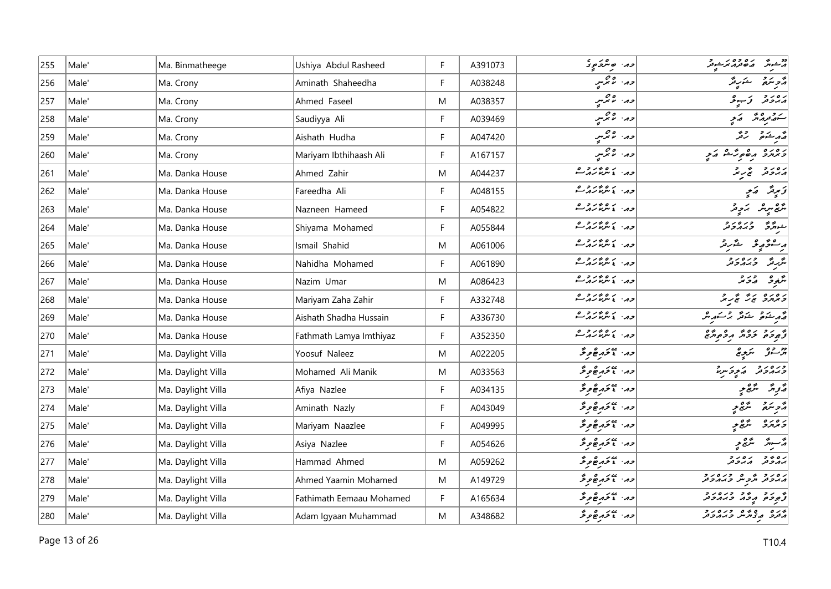| 255 | Male' | Ma. Binmatheege    | Ushiya Abdul Rasheed     | F.          | A391073 | وړ٠ وه شر <sub>کو</sub> و                |                                                       |
|-----|-------|--------------------|--------------------------|-------------|---------|------------------------------------------|-------------------------------------------------------|
| 256 | Male' | Ma. Crony          | Aminath Shaheedha        | F           | A038248 | احد ، عومير                              | أزويتم فيتمرش                                         |
| 257 | Male' | Ma. Crony          | Ahmed Faseel             | M           | A038357 | احد ، عوچمبر                             | بر ه بر د<br>م <i>. ب</i> ر <del>د</del> تر<br>ۇسبەقر |
| 258 | Male' | Ma. Crony          | Saudiyya Ali             | F           | A039469 | حەر ، ئاتتىپىر                           | شەھرە ئە ئە                                           |
| 259 | Male' | Ma. Crony          | Aishath Hudha            | $\mathsf F$ | A047420 | حەر ، ئاتتىپىر                           | وكرم شكوة المرتكز                                     |
| 260 | Male' | Ma. Crony          | Mariyam Ibthihaash Ali   | F           | A167157 | ۔<br>حەربە ئەتكەنىيە                     | دەرە مەھرىشى كېمىي                                    |
| 261 | Male' | Ma. Danka House    | Ahmed Zahir              | M           | A044237 | ورب کا سرا مرکز ک                        |                                                       |
| 262 | Male' | Ma. Danka House    | Fareedha Ali             | F           | A048155 | در ، ، شرار ده ه                         | ترىرىتر كەيپ                                          |
| 263 | Male' | Ma. Danka House    | Nazneen Hameed           | F           | A054822 | בו יציע אינגם                            | لترنج سربكر الكرج فكر                                 |
| 264 | Male' | Ma. Danka House    | Shiyama Mohamed          | F           | A055844 | בו יציעל הרבים                           | و رە ر د<br>تر پر تر تر<br>شەدگر گر                   |
| 265 | Male' | Ma. Danka House    | Ismail Shahid            | M           | A061006 | בו יציעל הרבים                           | ر جۇربۇ شېرىر                                         |
| 266 | Male' | Ma. Danka House    | Nahidha Mohamed          | F           | A061890 | בו יציעל הרבים                           | و ره ر و<br>تر پر تر تر<br>ىتزىرقىر                   |
| 267 | Male' | Ma. Danka House    | Nazim Umar               | M           | A086423 | در ، ، شرار د ه<br>در ، ، شرار شهر       | شمود المزائر                                          |
| 268 | Male' | Ma. Danka House    | Mariyam Zaha Zahir       | $\mathsf F$ | A332748 | בו יציעל המ                              | ى مەدە بىر ئىرىد                                      |
| 269 | Male' | Ma. Danka House    | Aishath Shadha Hussain   | F           | A336730 | <i>בו יציעל גר</i> ם                     | أأر شوه شوتر بر شور شر                                |
| 270 | Male' | Ma. Danka House    | Fathmath Lamya Imthiyaz  | $\mathsf F$ | A352350 | ورب کا سرا مرکز ک                        | وجوحهم محدثه مردم مهم                                 |
| 271 | Male' | Ma. Daylight Villa | Yoosuf Naleez            | M           | A022205 | در بيخ <sub>م</sub> قوم و                | دد وه سربولی                                          |
| 272 | Male' | Ma. Daylight Villa | Mohamed Ali Manik        | M           | A033563 | در ۽ ذريع وڏ                             | ورەرو كەردىر                                          |
| 273 | Male' | Ma. Daylight Villa | Afiya Nazlee             | F           | A034135 | در ۽ ذريع وڻ                             | أوزور متناهيج ميتني                                   |
| 274 | Male' | Ma. Daylight Villa | Aminath Nazly            | F.          | A043049 | در بيمور <u>ه</u> وځ                     | ومحر سنتملخ ومحروبه                                   |
| 275 | Male' | Ma. Daylight Villa | Mariyam Naazlee          | $\mathsf F$ | A049995 | در بيمور <u>ه</u> وځ                     | ر ه ر ه<br><del>د</del> بربرگ<br>يڑچ محر              |
| 276 | Male' | Ma. Daylight Villa | Asiya Nazlee             | F           | A054626 | در بيخ <sub>م</sub> قوم <sup>ق</sup> ومً | ومجسور مستنجع                                         |
| 277 | Male' | Ma. Daylight Villa | Hammad Ahmed             | M           | A059262 | در ۽ ذريع وڏ                             | ره ۶۶ - روبر و<br>برمرفر - مربر ور                    |
| 278 | Male' | Ma. Daylight Villa | Ahmed Yaamin Mohamed     | M           | A149729 | در بيخ <sub>م</sub> قوم و                | ן פיני הפית כממכת<br>המכת הפית כממכת                  |
| 279 | Male' | Ma. Daylight Villa | Fathimath Eemaau Mohamed | F           | A165634 | در ۽ ذريع وڏ                             | و دو مود دره دو                                       |
| 280 | Male' | Ma. Daylight Villa | Adam Igyaan Muhammad     | M           | A348682 | حەر، عجم خرىم ھوڭر                       | בנים הם כנסנים<br>הבקב הציתיות כמהכבק                 |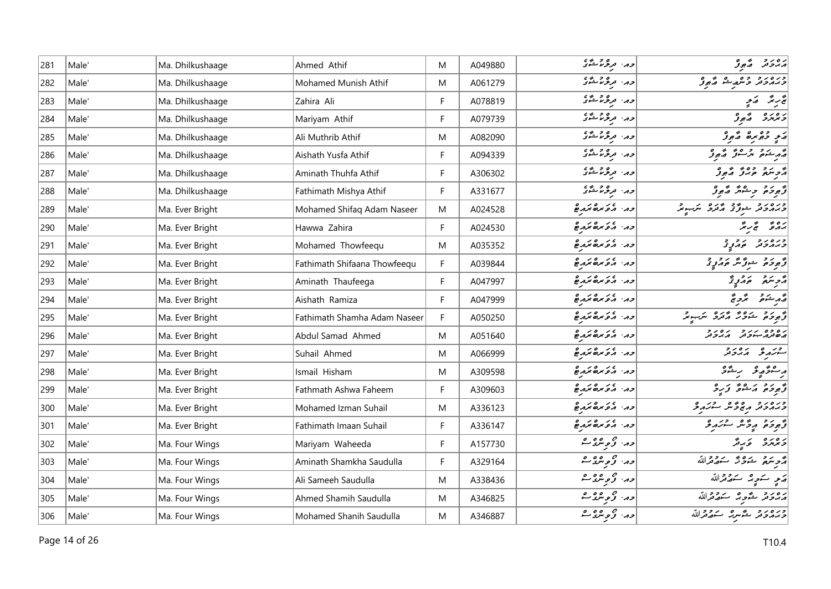| 281 | Male' | Ma. Dhilkushaage | Ahmed Athif                  | M           | A049880 | وړ٠ ترنوم شوء           | رەر ئەر                           |
|-----|-------|------------------|------------------------------|-------------|---------|-------------------------|-----------------------------------|
| 282 | Male' | Ma. Dhilkushaage | Mohamed Munish Athif         | M           | A061279 | وړ ورځه شو              | ورەرو وەھلىك مەدو                 |
| 283 | Male' | Ma. Dhilkushaage | Zahira Ali                   | F           | A078819 | وړ٠ ترور شر             | لتج سرنتمنه الأستحيا              |
| 284 | Male' | Ma. Dhilkushaage | Mariyam Athif                | F           | A079739 | وړ ورځه شو <sup>ي</sup> | رەرە ئەر                          |
| 285 | Male' | Ma. Dhilkushaage | Ali Muthrib Athif            | M           | A082090 | ود ويحدث                | ړې ده ده ړېږ                      |
| 286 | Male' | Ma. Dhilkushaage | Aishath Yusfa Athif          | F           | A094339 | وړ٠ ترور شری            | م د شرو و و و د و و               |
| 287 | Male' | Ma. Dhilkushaage | Aminath Thuhfa Athif         | F           | A306302 | وړ٠ ترور شری            | أأدبتهم وبالمحمد وأجول            |
| 288 | Male' | Ma. Dhilkushaage | Fathimath Mishya Athif       | F           | A331677 | وړ ورځه شو <sup>ي</sup> | توجدة وحشر مقور                   |
| 289 | Male' | Ma. Ever Bright  | Mohamed Shifaq Adam Naseer   | M           | A024528 | כו. הפיתם תום           | ورەرو جوڭ مەرە س.                 |
| 290 | Male' | Ma. Ever Bright  | Hawwa Zahira                 | F           | A024530 | בגי ג'פ גם ג'גם         | برە ئەربۇ                         |
| 291 | Male' | Ma. Ever Bright  | Mohamed Thowfeequ            | M           | A035352 | בגי גם בשיבגם           | כנסנכ נכנב                        |
| 292 | Male' | Ma. Ever Bright  | Fathimath Shifaana Thowfeequ | F           | A039844 | בגי ג'פ גם ג'גם         | ژُودَه شرزٌسٌ وَړُرٍ دُ           |
| 293 | Male' | Ma. Ever Bright  | Aminath Thaufeega            | $\mathsf F$ | A047997 | בגי גם בשיבה            | وحريتهم وأوقي                     |
| 294 | Male' | Ma. Ever Bright  | Aishath Ramiza               | F           | A047999 | בגי גם בשיבתם           | وأمر يشوقون وأرداخ                |
| 295 | Male' | Ma. Ever Bright  | Fathimath Shamha Adam Naseer | F           | A050250 | בגי גב בשיבגם           | و دو ده وده وده ترجیز             |
| 296 | Male' | Ma. Ever Bright  | Abdul Samad Ahmed            | M           | A051640 | בגי ג'פ גם ג'גם         | נסכם נגב נסגב<br>הסנקה-יכנק הגכנק |
| 297 | Male' | Ma. Ever Bright  | Suhail Ahmed                 | M           | A066999 | בגי הפיתם יבהם          | لتركيز كالمردو                    |
| 298 | Male' | Ma. Ever Bright  | Ismail Hisham                | M           | A309598 | בגי גם בשיבה            | ر قۇمۇ بىشۇ                       |
| 299 | Male' | Ma. Ever Bright  | Fathmath Ashwa Faheem        | F           | A309603 | בגי גם בשיבגם           | وٌجودَ ۾ ره ۽ وَرِدُ              |
| 300 | Male' | Ma. Ever Bright  | Mohamed Izman Suhail         | M           | A336123 | בגי גפינים בגם          | כנסגב פשם בנגב                    |
| 301 | Male' | Ma. Ever Bright  | Fathimath Imaan Suhail       | $\mathsf F$ | A336147 | בגי הפיתם יבהם          | وتجوده ودمر متزرو                 |
| 302 | Male' | Ma. Four Wings   | Mariyam Waheeda              | F           | A157730 | حەر، ئۇ ھەمدىك ھ        | د ۵ ره د کر تگر                   |
| 303 | Male' | Ma. Four Wings   | Aminath Shamkha Saudulla     | F           | A329164 | حەر، ئۇ جەمىگە شە       | وحريرة خوتى كروترالله             |
| 304 | Male' | Ma. Four Wings   | Ali Sameeh Saudulla          | M           | A338436 | حەر، بۇ ھەم ھەم ھ       | رَمِّ سَوِيْرٌ سَوَيْرَ اللّهِ    |
| 305 | Male' | Ma. Four Wings   | Ahmed Shamih Saudulla        | M           | A346825 | حەربى ئۇ ھەم ھەم ھە     | برەرو ھۇرو سەرولله                |
| 306 | Male' | Ma. Four Wings   | Mohamed Shanih Saudulla      | M           | A346887 | حەر بۇ ھەممى ھە         | ورەرو ئەسرە سەرواللە              |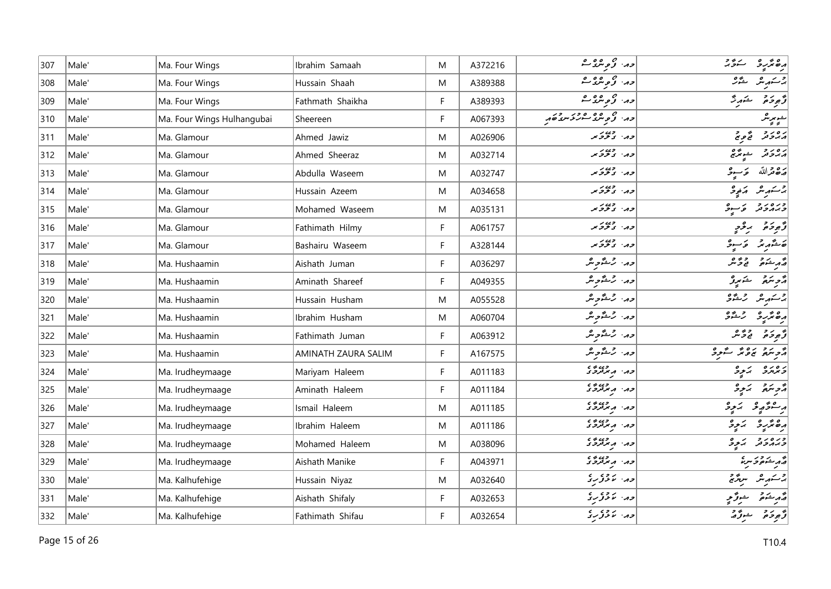| 307 | Male' | Ma. Four Wings             | Ibrahim Samaah      | M  | A372216 | در، ژوپروگ                      | سەۋر<br>ە ھې <sup>تى</sup> رى<br>مەھمەر                 |
|-----|-------|----------------------------|---------------------|----|---------|---------------------------------|---------------------------------------------------------|
| 308 | Male' | Ma. Four Wings             | Hussain Shaah       | M  | A389388 | حەر، بۇ ھەمىيە ھە               | جر شهر مشروع الشرح                                      |
| 309 | Male' | Ma. Four Wings             | Fathmath Shaikha    | F  | A389393 | حەر بۇ ھەم ھەم                  | وَجِعِدَةٍ حَمَدِيَّ                                    |
| 310 | Male' | Ma. Four Wings Hulhangubai | Sheereen            | F  | A067393 | حەر بى ھەر مەدىرىدى ھەر         | ے موسر<br>پر پر                                         |
| 311 | Male' | Ma. Glamour                | Ahmed Jawiz         | M  | A026906 | وړ کونځ <sub>مر</sub>           | پروژو<br>و ۔<br>قع ح                                    |
| 312 | Male' | Ma. Glamour                | Ahmed Sheeraz       | M  | A032714 | وړ وي.<br>وړ د <del>و</del> ونو | برەر دېم شومگنج                                         |
| 313 | Male' | Ma. Glamour                | Abdulla Waseem      | M  | A032747 | وړ وي د                         | مَدْهُ مَرْاللّه وَ سِورٌ                               |
| 314 | Male' | Ma. Glamour                | Hussain Azeem       | M  | A034658 | وړ وي.<br>وړ د <del>و</del> ونو | جستهر شد متنفج                                          |
| 315 | Male' | Ma. Glamour                | Mohamed Waseem      | M  | A035131 | وړ کوتونو                       | ورەرو رىدە                                              |
| 316 | Male' | Ma. Glamour                | Fathimath Hilmy     | F  | A061757 | وړ کونځ پر                      | قەدىق بىۋې                                              |
| 317 | Male' | Ma. Glamour                | Bashairu Waseem     | F  | A328144 | وړ وي د<br>ور د وگونو           | ەشگەر تەرە                                              |
| 318 | Male' | Ma. Hushaamin              | Aishath Juman       | F  | A036297 | در. گەشگەر بىر                  | و پر مر<br>مح شر<br>و مر شو د<br>مر                     |
| 319 | Male' | Ma. Hushaamin              | Aminath Shareef     | F  | A049355 | دە. رىشۇرىر                     | أأروبتهم المستمعر                                       |
| 320 | Male' | Ma. Hushaamin              | Hussain Husham      | M  | A055528 | وړ. رڅشو پر                     | ج سەر شەر جەشىنى يە                                     |
| 321 | Male' | Ma. Hushaamin              | Ibrahim Husham      | M  | A060704 | دە. رىقۇچىر                     | رەنزىرو رىشۇ                                            |
| 322 | Male' | Ma. Hushaamin              | Fathimath Juman     | F  | A063912 | دە. بۇ ھۇجەنگە                  | توجدة والمحاملة                                         |
| 323 | Male' | Ma. Hushaamin              | AMINATH ZAURA SALIM | F  | A167575 | دە. ئىشگىرىش                    | أأوسع بموتر كموو                                        |
| 324 | Male' | Ma. Irudheymaage           | Mariyam Haleem      | F. | A011183 | وړ٠ د برترونۍ                   | دەرە بەدە                                               |
| 325 | Male' | Ma. Irudheymaage           | Aminath Haleem      | F  | A011184 | وړ٠ د بر بر درو د               | برَمٍوْد<br>لجمحر يئرو                                  |
| 326 | Male' | Ma. Irudheymaage           | Ismail Haleem       | M  | A011185 | כו. ו במיכז                     | ر جۇرپى ئېرو                                            |
| 327 | Male' | Ma. Irudheymaage           | Ibrahim Haleem      | M  | A011186 | כוזי וקיבעקים<br>כוזי וקיבעבים  | وهتر و روو                                              |
| 328 | Male' | Ma. Irudheymaage           | Mohamed Haleem      | M  | A038096 | כוזי וקיבעקים<br>כוזי וקיבעבים  | ورەرو رو                                                |
| 329 | Male' | Ma. Irudheymaage           | Aishath Manike      | F  | A043971 | وړ٠ د برترون                    | ۇ مەسكەت ئەرىكى<br>مەس                                  |
| 330 | Male' | Ma. Kalhufehige            | Hussain Niyaz       | M  | A032640 | دړ. غوړې دی                     | ير سكور مثل المسترجي                                    |
| 331 | Male' | Ma. Kalhufehige            | Aishath Shifaly     | F. | A032653 | <br>  <i>دە ئاندۇرى</i>         | و<br>مرید شور شور شور شور کرد.<br>مرید شور شور کرد کرد. |
| 332 | Male' | Ma. Kalhufehige            | Fathimath Shifau    | F  | A032654 | وړې ترکوي کو                    | قرم و المعرفية                                          |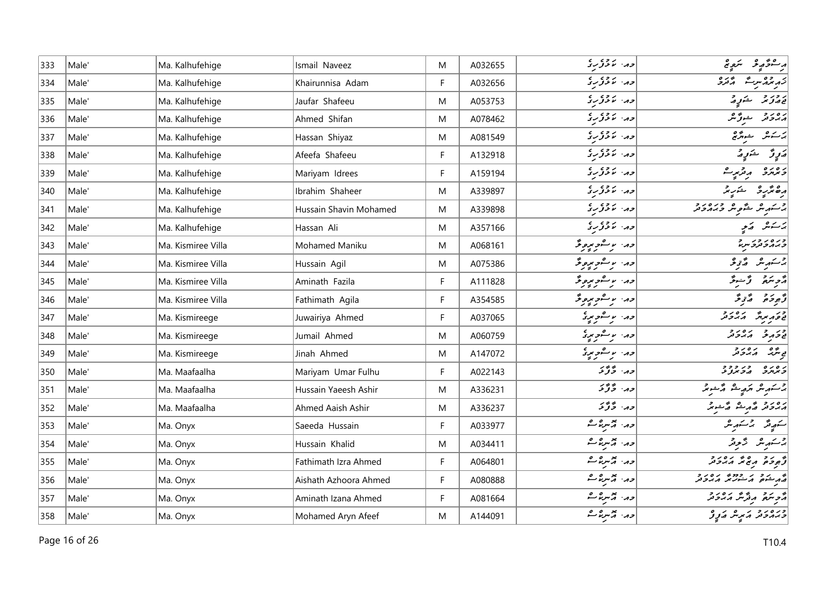| 333 | Male' | Ma. Kalhufehige    | Ismail Naveez          | M           | A032655 | دړ٠ تا نوتو پرتو                        | ىر شۇ <sub>م</sub> ۇ ئىرىمى<br>ر                        |
|-----|-------|--------------------|------------------------|-------------|---------|-----------------------------------------|---------------------------------------------------------|
| 334 | Male' | Ma. Kalhufehige    | Khairunnisa Adam       | F           | A032656 | دړې ترونو کړي                           | زر ده سر پره                                            |
| 335 | Male' | Ma. Kalhufehige    | Jaufar Shafeeu         | M           | A053753 | دە. ئانزۇرى                             | ر در د<br>به در شکوه                                    |
| 336 | Male' | Ma. Kalhufehige    | Ahmed Shifan           | M           | A078462 | دړې تا نوټورنۍ                          | رەرد ھۆر<br>مەدىر ھۆر                                   |
| 337 | Male' | Ma. Kalhufehige    | Hassan Shiyaz          | M           | A081549 | در بردی ،                               | ىز سەش سىيەتىرى<br>مە                                   |
| 338 | Male' | Ma. Kalhufehige    | Afeefa Shafeeu         | $\mathsf F$ | A132918 | دە . ئانگۈرى                            | أَمَرُوِرٌ الشَّوَرِمُ                                  |
| 339 | Male' | Ma. Kalhufehige    | Mariyam Idrees         | F           | A159194 | حەر، ئىگەنى ئى<br>جەر، ئىگەنى ئى        | ويمهرو مرتزبر و                                         |
| 340 | Male' | Ma. Kalhufehige    | Ibrahim Shaheer        | M           | A339897 | دە بە ئۇرى                              | رەنزىر ئىرىز                                            |
| 341 | Male' | Ma. Kalhufehige    | Hussain Shavin Mohamed | M           | A339898 | دړې تاندونږ                             | ج کے مربان کے ویر وزیر دیں                              |
| 342 | Male' | Ma. Kalhufehige    | Hassan Ali             | M           | A357166 | دړې تا ترو د رو                         | پرستانش اړې په                                          |
| 343 | Male' | Ma. Kismiree Villa | Mohamed Maniku         | M           | A068161 | دە. بەسىۋىروقە                          | כנסנכנק<br>כגובנקבית                                    |
| 344 | Male' | Ma. Kismiree Villa | Hussain Agil           | M           | A075386 | دە ، بەسەد برە دې<br>مەمىرىيە           | جاسكر مثر الحجافج فحر                                   |
| 345 | Male' | Ma. Kismiree Villa | Aminath Fazila         | F           | A111828 | -<br>در الاس دیده د                     | مەر ئىكى ئۇسۇ                                           |
| 346 | Male' | Ma. Kismiree Villa | Fathimath Agila        | $\mathsf F$ | A354585 | دە. ب <sub>ې</sub> ش <sub>و</sub> برە ۋ | وٌوِدَهُ الْمُتِرَّدُّ                                  |
| 347 | Male' | Ma. Kismireege     | Juwairiya Ahmed        | F           | A037065 | حەر، ب <sub>ې</sub> شو بېرى<br>مە       | ور برگر كرورو<br>موسيرگر كربروتر                        |
| 348 | Male' | Ma. Kismireege     | Jumail Ahmed           | M           | A060759 | حەر، ب <sub>ې</sub> شو بېرى<br>مەن      |                                                         |
| 349 | Male' | Ma. Kismireege     | Jinah Ahmed            | M           | A147072 | حەر، ب <sub>ې</sub> شو بېرى<br>م        | بے شرکت مرکز دیگر<br>ایم شرکت مرکز تر                   |
| 350 | Male' | Ma. Maafaalha      | Mariyam Umar Fulhu     | F           | A022143 | وړ ژور                                  | ן סקס - כן ככב<br><mark>כאונכ - וג</mark> באנג          |
| 351 | Male' | Ma. Maafaalha      | Hussain Yaeesh Ashir   | M           | A336231 | وە بۇ ئى                                | ج سکه شهر مرکب استاد می کنید می                         |
| 352 | Male' | Ma. Maafaalha      | Ahmed Aaish Ashir      | M           | A336237 | وړ . وٌ تٌوَ تو                         | גפנד הוקים הבית                                         |
| 353 | Male' | Ma. Onyx           | Saeeda Hussain         | F           | A033977 | دە. ئېسرىي<br>مە                        | سكم يتكر المرسكر السرائيل                               |
| 354 | Male' | Ma. Onyx           | Hussain Khalid         | M           | A034411 | دە. ئ <sup>ې</sup> سرىئات               | رج سکه سنگه می شود.                                     |
| 355 | Male' | Ma. Onyx           | Fathimath Izra Ahmed   | F           | A064801 | حەر بە ئەسرىما م                        | و وده می ته مدون                                        |
| 356 | Male' | Ma. Onyx           | Aishath Azhoora Ahmed  | F           | A080888 | حەر بە ئەسرىر ئ                         | ه مشوه به دوده بره برد د<br>مگهر شوه به مشور بر بربروتر |
| 357 | Male' | Ma. Onyx           | Aminath Izana Ahmed    | F           | A081664 | حەر بە ئىبرىم م                         | أأديتهم أرفده أرورد                                     |
| 358 | Male' | Ma. Onyx           | Mohamed Aryn Afeef     | M           | A144091 | حەر بە ئەرىر ئ                          | ورەرو رىرىگە مەر 3                                      |
|     |       |                    |                        |             |         |                                         |                                                         |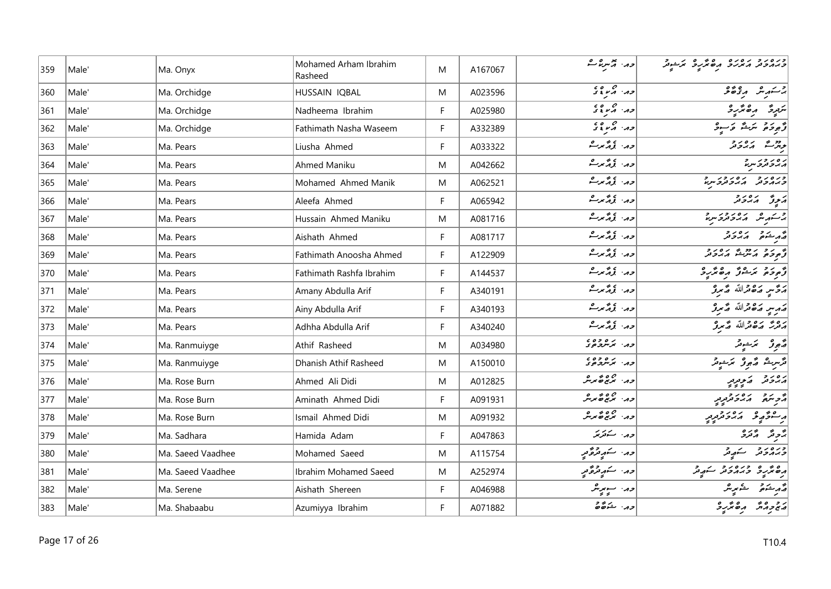| 359 | Male' | Ma. Onyx          | Mohamed Arham Ibrahim<br>Rasheed | M  | A167067 | $ z\rangle$                                                                                                                                                                                                        | وره دو ره ره و هر و مرشود                   |
|-----|-------|-------------------|----------------------------------|----|---------|--------------------------------------------------------------------------------------------------------------------------------------------------------------------------------------------------------------------|---------------------------------------------|
| 360 | Male' | Ma. Orchidge      | HUSSAIN IQBAL                    | M  | A023596 | בו היישיב                                                                                                                                                                                                          | جسكر شرقه وتحقظ                             |
| 361 | Male' | Ma. Orchidge      | Nadheema Ibrahim                 | F  | A025980 | בו היו י                                                                                                                                                                                                           | سَمِرِدَ مەھەرد                             |
| 362 | Male' | Ma. Orchidge      | Fathimath Nasha Waseem           | F  | A332389 | 5.20010                                                                                                                                                                                                            | وٌ و د و الرک کا داده ا                     |
| 363 | Male' | Ma. Pears         | Liusha Ahmed                     | F  | A033322 | دە. بۇرگەر <u>م</u>                                                                                                                                                                                                | ودور ده در د                                |
| 364 | Male' | Ma. Pears         | Ahmed Maniku                     | M  | A042662 | ور. بۇرگىرىش                                                                                                                                                                                                       | ر ہ ر د ر<br>ג پر تر تر تر س                |
| 365 | Male' | Ma. Pears         | Mohamed Ahmed Manik              | Μ  | A062521 | ور. بې تمرے                                                                                                                                                                                                        | כנסנכ נסנכנית.<br>בגתכת תגכתכיתיו           |
| 366 | Male' | Ma. Pears         | Aleefa Ahmed                     | F. | A065942 | ور. بۇرگەر ھ                                                                                                                                                                                                       | ړېو پرورو                                   |
| 367 | Male' | Ma. Pears         | Hussain Ahmed Maniku             | Μ  | A081716 | ور. بۇرگەر ھ                                                                                                                                                                                                       | ב הוקייר והכנביתי                           |
| 368 | Male' | Ma. Pears         | Aishath Ahmed                    | F. | A081717 | ور. بۇرگىرى                                                                                                                                                                                                        | وكرشوة دورة                                 |
| 369 | Male' | Ma. Pears         | Fathimath Anoosha Ahmed          | F. | A122909 | ور. بۇرگىرىش                                                                                                                                                                                                       | و د د درود ده د د                           |
| 370 | Male' | Ma. Pears         | Fathimath Rashfa Ibrahim         | F  | A144537 | جەر، بۇرگەرگ                                                                                                                                                                                                       | ژ <sub>ەخە</sub> ئەشرىم ھۆرۈ                |
| 371 | Male' | Ma. Pears         | Amany Abdulla Arif               | F. | A340191 | در، بې تمریب                                                                                                                                                                                                       | رَدَّسٍ رَءْ تَدَاللَّهُ رَّسِرُ            |
| 372 | Male' | Ma. Pears         | Ainy Abdulla Arif                | F  | A340193 | حەر، بۇرگىرىشە                                                                                                                                                                                                     | أصهر سير وكافته الله ومحمد ومحتفظ           |
| 373 | Male' | Ma. Pears         | Adhha Abdulla Arif               | F. | A340240 | ور. بۇرگىرىش                                                                                                                                                                                                       | بروم بروترالله ومرو                         |
| 374 | Male' | Ma. Ranmuiyge     | Athif Rasheed                    | M  | A034980 | ر ۵۶۵ ده<br>وړ کرسرچ وی                                                                                                                                                                                            | مەموق ئىمشوقر                               |
| 375 | Male' | Ma. Ranmuiyge     | <b>Dhanish Athif Rasheed</b>     | M  | A150010 | ر ۵۶۵ ده<br>وړ کورونونو و                                                                                                                                                                                          | تكرس الملح والمحر المحر المحر والمحر والمحر |
| 376 | Male' | Ma. Rose Burn     | Ahmed Ali Didi                   | M  | A012825 | وړ٠ کړه پر پر پر                                                                                                                                                                                                   | رەر ئەرىرىر                                 |
| 377 | Male' | Ma. Rose Burn     | Aminath Ahmed Didi               | F. | A091931 | وړ· می څو ته پر ټر                                                                                                                                                                                                 |                                             |
| 378 | Male' | Ma. Rose Burn     | Ismail Ahmed Didi                | M  | A091932 | وړ٠ مرغ ځمرش                                                                                                                                                                                                       | وكوكرو ووكوكرو                              |
| 379 | Male' | Ma. Sadhara       | Hamida Adam                      | F. | A047863 | وە سەترىر                                                                                                                                                                                                          | پڑونڈ گرنرو                                 |
| 380 | Male' | Ma. Saeed Vaadhee | Mohamed Saeed                    | M  | A115754 | وە · سەرەترەڭ بېر                                                                                                                                                                                                  | ورەرو بەر                                   |
| 381 | Male' | Ma. Saeed Vaadhee | Ibrahim Mohamed Saeed            | M  | A252974 | دە سەرپەردۇر                                                                                                                                                                                                       | مەھەر دەر دەر دەر بەر                       |
| 382 | Male' | Ma. Serene        | Aishath Shereen                  | F. | A046988 | حەر، سومېرىگر<br>ئ                                                                                                                                                                                                 | ۇرشۇم شېرىر                                 |
| 383 | Male' | Ma. Shabaabu      | Azumiyya Ibrahim                 | F. | A071882 | $\stackrel{\scriptscriptstyle{2}}{\scriptscriptstyle{\infty}}\stackrel{\scriptscriptstyle{2}}{\scriptscriptstyle{\infty}}\stackrel{\scriptscriptstyle{2}}{\scriptscriptstyle{\infty}}$ . A $\scriptscriptstyle{2}$ | גי היה הסתניב                               |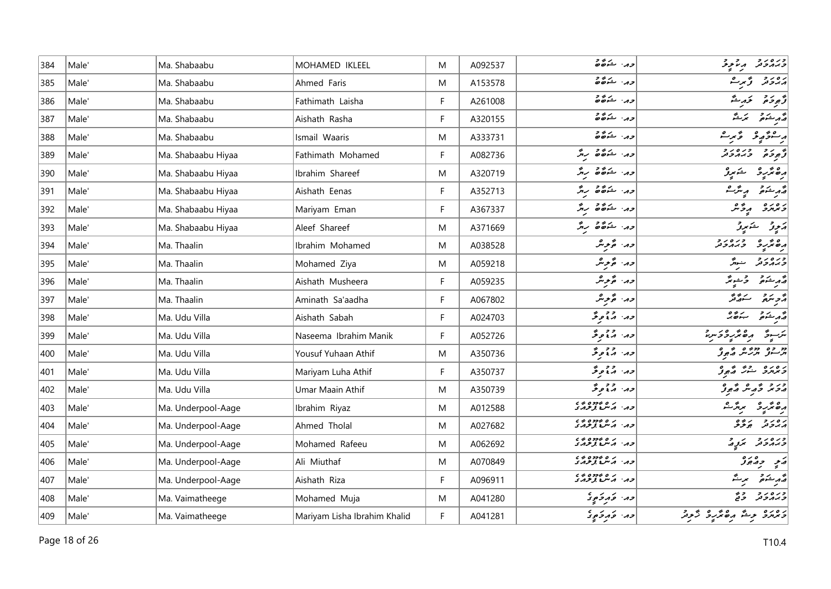| 384 | Male' | Ma. Shabaabu       | MOHAMED IKLEEL               | M | A092537 | ืออั๊๊๊๊ะ - ภร                                                                                                                                                                                                     | و رە ر د<br><i>د بر</i> گرىز<br>ەر ئەمەيەتى |
|-----|-------|--------------------|------------------------------|---|---------|--------------------------------------------------------------------------------------------------------------------------------------------------------------------------------------------------------------------|---------------------------------------------|
| 385 | Male' | Ma. Shabaabu       | Ahmed Faris                  | M | A153578 | $\stackrel{\scriptscriptstyle 7}{\circ} \stackrel{\scriptscriptstyle 6}{\circ} \stackrel{\scriptscriptstyle 1}{\circ} \cdot$ $\scriptscriptstyle \nearrow$ $\scriptscriptstyle 7$                                  | ۇ ئىرىشە<br>بروبر و                         |
| 386 | Male' | Ma. Shabaabu       | Fathimath Laisha             | F | A261008 | $\stackrel{\scriptscriptstyle{2}}{\scriptscriptstyle{\infty}}\stackrel{\scriptscriptstyle{2}}{\scriptscriptstyle{\infty}}\stackrel{\scriptscriptstyle{2}}{\scriptscriptstyle{\infty}}$ . A $\scriptscriptstyle{2}$ | توجوخو بمراك                                |
| 387 | Male' | Ma. Shabaabu       | Aishath Rasha                | F | A320155 | $\frac{2}{3}$ $\frac{2}{3}$ $\frac{2}{3}$ $\frac{2}{3}$ $\frac{2}{3}$ $\frac{2}{3}$ $\frac{2}{3}$ $\frac{2}{3}$ $\frac{2}{3}$ $\frac{2}{3}$                                                                        | ۇرىشكى كرىش                                 |
| 388 | Male' | Ma. Shabaabu       | Ismail Waaris                | M | A333731 | $\overset{\scriptscriptstyle{2}}{\overset{\scriptscriptstyle{6}}{\circ}}\overset{\scriptscriptstyle{6}}{\overset{\scriptscriptstyle{6}}{\circ}}\overset{\scriptscriptstyle{7}}{\cdots}$                            | ر جۇيۇ قەرب                                 |
| 389 | Male' | Ma. Shabaabu Hiyaa | Fathimath Mohamed            | F | A082736 | ور. ئەھ ھەر                                                                                                                                                                                                        | و د وره در د                                |
| 390 | Male' | Ma. Shabaabu Hiyaa | Ibrahim Shareef              | M | A320719 | ور. ځوڅ د گر                                                                                                                                                                                                       | ەرھەترىر <sup>ى</sup><br>ے موثر             |
| 391 | Male' | Ma. Shabaabu Hiyaa | Aishath Eenas                | F | A352713 | ور. ئەھ ھەر                                                                                                                                                                                                        |                                             |
| 392 | Male' | Ma. Shabaabu Hiyaa | Mariyam Eman                 | F | A367337 | ور. ځوڅ رگه                                                                                                                                                                                                        | ويوبره<br>بەيۋىتر                           |
| 393 | Male' | Ma. Shabaabu Hiyaa | Aleef Shareef                | M | A371669 | ور. ځوه ه رنگ                                                                                                                                                                                                      | أرووق المشامورة                             |
| 394 | Male' | Ma. Thaalin        | Ibrahim Mohamed              | M | A038528 | دە. ئۇمەش                                                                                                                                                                                                          | ارەتمەر<br>و رە ر د<br>تر پر پر تر          |
| 395 | Male' | Ma. Thaalin        | Mohamed Ziya                 | M | A059218 | دە. ئۇمەش                                                                                                                                                                                                          | و ر ه ر د<br>تر پر ژ تر<br>سندوگر           |
| 396 | Male' | Ma. Thaalin        | Aishath Musheera             | F | A059235 | حەر، ئۇم <sub>رىش</sub>                                                                                                                                                                                            | و مرکز در<br>مرکز مشکور<br>ترحسو تمر        |
| 397 | Male' | Ma. Thaalin        | Aminath Sa'aadha             | F | A067802 | دە. ئۇمەش                                                                                                                                                                                                          | سەھەتىر<br>پ <sup>ر</sup> تر سرچ            |
| 398 | Male' | Ma. Udu Villa      | Aishath Sabah                | F | A024703 | در. رقم و څ                                                                                                                                                                                                        | ړُ د ده ده د                                |
| 399 | Male' | Ma. Udu Villa      | Naseema Ibrahim Manik        | F | A052726 | رو. دڏورمُ                                                                                                                                                                                                         | ە ھەتئەر 25 سرىر<br>م<br>ىئرسىدۇ            |
| 400 | Male' | Ma. Udu Villa      | Yousuf Yuhaan Athif          | M | A350736 | دە. دېموگ                                                                                                                                                                                                          | ח כם חדשים שים<br>תי-ת תי-ת הם צ            |
| 401 | Male' | Ma. Udu Villa      | Mariyam Luha Athif           | F | A350737 | در. مؤوفر                                                                                                                                                                                                          | גם גם גבוב הם ב                             |
| 402 | Male' | Ma. Udu Villa      | Umar Maain Athif             | M | A350739 | در. رقم و ژ                                                                                                                                                                                                        | ړو پر د پر ړيږ                              |
| 403 | Male' | Ma. Underpool-Aage | Ibrahim Riyaz                | M | A012588 | ر ۵ و ۵ و و و ۵<br>وړ ۰ د سره و څرمري                                                                                                                                                                              | ەرھەتمەر 2<br>ر<br>ىروگرىشە                 |
| 404 | Male' | Ma. Underpool-Aage | Ahmed Tholal                 | M | A027682 | ر ۵ و ۵۶۶۶ و د<br>د د ۱۰ د سره بومړي                                                                                                                                                                               | رەر دىرە<br>مەدىر بو <del>گ</del> ر         |
| 405 | Male' | Ma. Underpool-Aage | Mohamed Rafeeu               | M | A062692 | ر ۵ و ۵۶۶۶<br>د د که سره بوم د ۱۶                                                                                                                                                                                  | ورەر دىرو                                   |
| 406 | Male' | Ma. Underpool-Aage | Ali Miuthaf                  | M | A070849 | ر ۲۵۶۶۶۵ و ده<br>د د که سره و مردر د                                                                                                                                                                               | أمجمع ومهجو                                 |
| 407 | Male' | Ma. Underpool-Aage | Aishath Riza                 | F | A096911 | ر ۵ و ۵۶۶۶<br>دړ که سره و څرور د                                                                                                                                                                                   | ۇرىشكى مرىگ                                 |
| 408 | Male' | Ma. Vaimatheege    | Mohamed Muja                 | M | A041280 | وړ٠ وَږوَم <sub>وٍ</sub> ءَ                                                                                                                                                                                        | و ر ه ر د<br>تر پر ژ تر<br>رحمح             |
| 409 | Male' | Ma. Vaimatheege    | Mariyam Lisha Ibrahim Khalid | F | A041281 | وړ٠ وَروم <sub>و</sub> ء                                                                                                                                                                                           | دەرە برېش مەھرىرى دىگرى                     |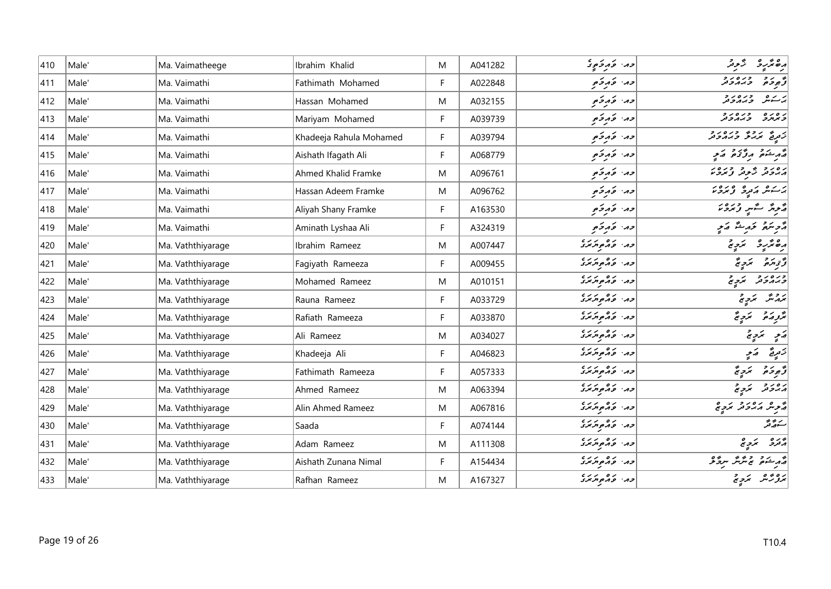| 410 | Male' | Ma. Vaimatheege   | Ibrahim Khalid          | M           | A041282 | בו פֿובקי               | رەئىر ئە<br>رٌ وتر                     |
|-----|-------|-------------------|-------------------------|-------------|---------|-------------------------|----------------------------------------|
| 411 | Male' | Ma. Vaimathi      | Fathimath Mohamed       | $\mathsf F$ | A022848 | وړ٠ وَروَمِ             | و ره ر د<br><i>د بر</i> د تر<br>وحموحه |
| 412 | Male' | Ma. Vaimathi      | Hassan Mohamed          | M           | A032155 | وړ٠ وَړوَو              | بزسەيىتىر<br>و ره ر و<br>تر پروتر      |
| 413 | Male' | Ma. Vaimathi      | Mariyam Mohamed         | F           | A039739 | وړ٠ وَروَمِ             | ג סגם כגם בכ<br>האית האיתכת            |
| 414 | Male' | Ma. Vaimathi      | Khadeeja Rahula Mohamed | F           | A039794 | در ، ءَرِدَمِ           | زَىرِيحَ بَرَرْدُ وَرَهْرُوَنَرَ       |
| 415 | Male' | Ma. Vaimathi      | Aishath Ifagath Ali     | F           | A068779 | در غږدځمو               | ومرشوم روزة وكمع                       |
| 416 | Male' | Ma. Vaimathi      | Ahmed Khalid Framke     | M           | A096761 | وړ٠ وَروَمِ             | رورد ويحوثه وبره                       |
| 417 | Male' | Ma. Vaimathi      | Hassan Adeem Framke     | M           | A096762 | وړ٠ وَروَمِ             | يُرَسَمَّرُ دَبِرِدْ وَبَرَدَنَ        |
| 418 | Male' | Ma. Vaimathi      | Aliyah Shany Framke     | F           | A163530 | دەر، غەرچە              | أوعبرهم ستميي وحمده بر                 |
| 419 | Male' | Ma. Vaimathi      | Aminath Lyshaa Ali      | F           | A324319 | وړ٠ وَروَمِ             | أأزويتم قرمريش كالمج                   |
| 420 | Male' | Ma. Vaththiyarage | Ibrahim Rameez          | M           | A007447 | בו להקתיב               | ەر ھەتمەر 2<br>ب<br>بمرديج             |
| 421 | Male' | Ma. Vaththiyarage | Fagiyath Rameeza        | F           | A009455 | כו. פ'הם הגם            | ۇ تۇرىمۇ ئىكرىدىگە                     |
| 422 | Male' | Ma. Vaththiyarage | Mohamed Rameez          | M           | A010151 | בו להקתיב               | כממכנה הבניה                           |
| 423 | Male' | Ma. Vaththiyarage | Rauna Rameez            | F           | A033729 | בו בהקתיב               | أترويش تزديج                           |
| 424 | Male' | Ma. Vaththiyarage | Rafiath Rameeza         | F.          | A033870 | כני פנים <i>ני</i> ג    | بمزديمة<br>ىمەجەتچ                     |
| 425 | Male' | Ma. Vaththiyarage | Ali Rameez              | M           | A034027 | בני פהפתיבב             |                                        |
| 426 | Male' | Ma. Vaththiyarage | Khadeeja Ali            | F           | A046823 | בו להקיתות              | ئرىرىچ<br>م<br>ەنىيە                   |
| 427 | Male' | Ma. Vaththiyarage | Fathimath Rameeza       | F           | A057333 | גם גבת.<br>כגי פגם חיב  | وموده ترديج                            |
| 428 | Male' | Ma. Vaththiyarage | Ahmed Rameez            | ${\sf M}$   | A063394 | בו להקתיב               | دەرد ئەدى                              |
| 429 | Male' | Ma. Vaththiyarage | Alin Ahmed Rameez       | ${\sf M}$   | A067816 | בו להקתיק               | وحموها وكالمرد المحاجاتي               |
| 430 | Male' | Ma. Vaththiyarage | Saada                   | F           | A074144 | בו בהפתיבי              | سەپەتىر                                |
| 431 | Male' | Ma. Vaththiyarage | Adam Rameez             | M           | A111308 | בו להקתיב               | پر رہ<br>دگرو<br>بترجيح                |
| 432 | Male' | Ma. Vaththiyarage | Aishath Zunana Nimal    | F           | A154434 | בו להקתיק               |                                        |
| 433 | Male' | Ma. Vaththiyarage | Rafhan Rameez           | ${\sf M}$   | A167327 | כו מי פריפית<br>המי המי | پره ژه پر په                           |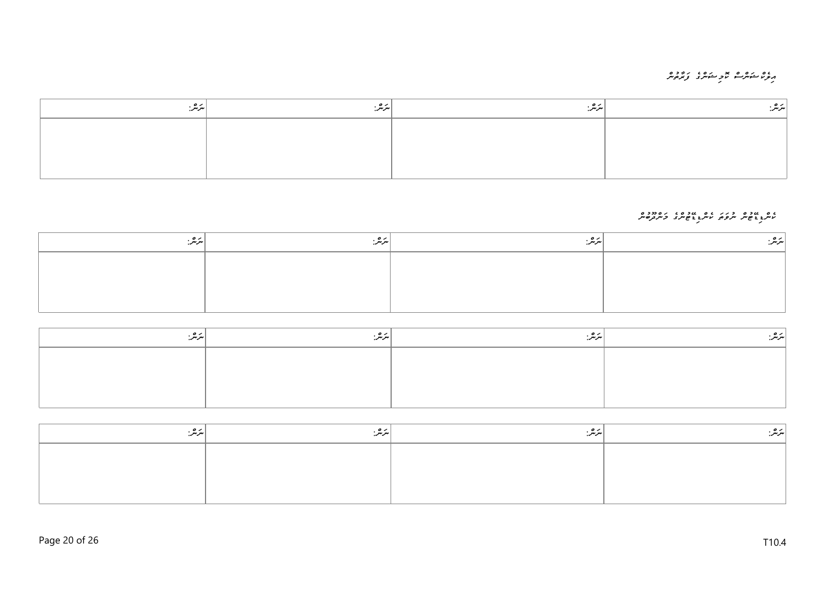## *w7qAn8m? sCw7mRo>u; wEw7mRw;sBo<*

| ' مرمر | 'يئرىثر: |
|--------|----------|
|        |          |
|        |          |
|        |          |

## *w7q9r@w7m> sCw7qHtFoFw7s; mAm=q7 w7qHtFoFw7s;*

| يئرمىش: | $^{\circ}$<br>. سر سر<br>$\cdot$ | $\circ$ $\sim$<br>-- | يئرمثر |
|---------|----------------------------------|----------------------|--------|
|         |                                  |                      |        |
|         |                                  |                      |        |
|         |                                  |                      |        |

| $\frac{2}{n}$ | $\overline{\phantom{a}}$ | اير هنه. | $\mathcal{O} \times$<br>سرسر |
|---------------|--------------------------|----------|------------------------------|
|               |                          |          |                              |
|               |                          |          |                              |
|               |                          |          |                              |

| ىرتىر: | 。<br>سر سر | .,<br>مرسر |
|--------|------------|------------|
|        |            |            |
|        |            |            |
|        |            |            |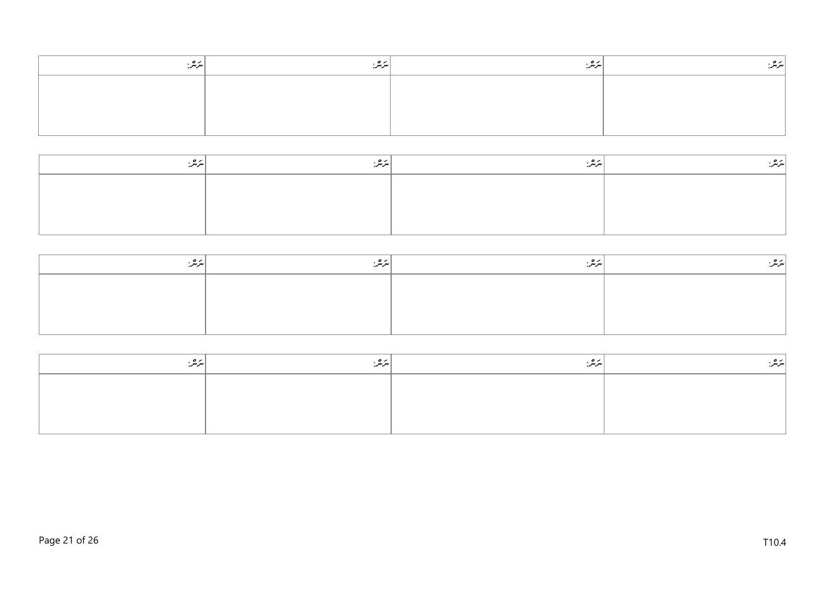| ىزىتر: | $\cdot$ | ىئرىتر: |  |
|--------|---------|---------|--|
|        |         |         |  |
|        |         |         |  |
|        |         |         |  |

| <sup>.</sup> سرسر. |  |
|--------------------|--|
|                    |  |
|                    |  |
|                    |  |

| ىرتىر: | $\sim$ | ا بر هه. | لىرىش |
|--------|--------|----------|-------|
|        |        |          |       |
|        |        |          |       |
|        |        |          |       |

| 。<br>مرس. | $\overline{\phantom{a}}$<br>مر مىر | ىرىر |
|-----------|------------------------------------|------|
|           |                                    |      |
|           |                                    |      |
|           |                                    |      |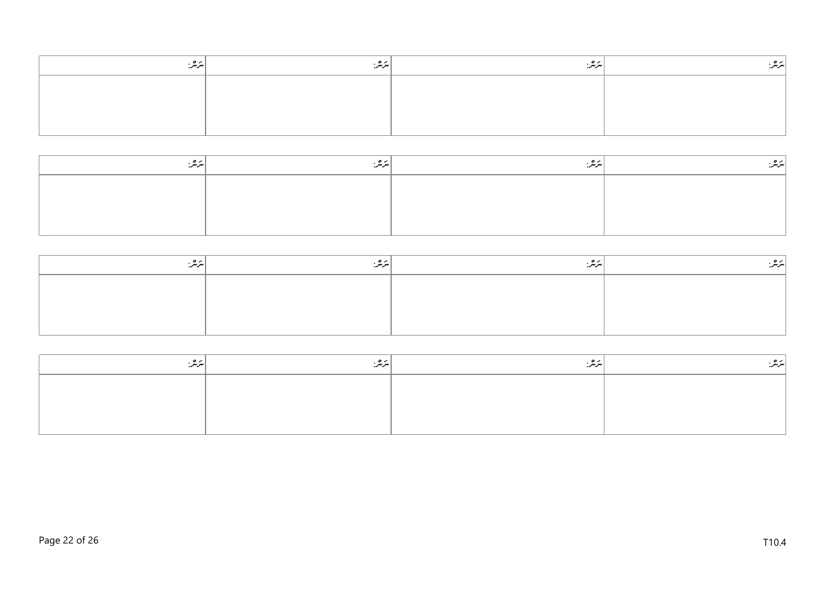| ير هو . | $\overline{\phantom{a}}$ | يرمر | اير هنه. |
|---------|--------------------------|------|----------|
|         |                          |      |          |
|         |                          |      |          |
|         |                          |      |          |

| ىبرىر. | $\sim$<br>ا سرسر . | يئرمثر | o . |
|--------|--------------------|--------|-----|
|        |                    |        |     |
|        |                    |        |     |
|        |                    |        |     |

| الترنثر: | ' مرتكز: | الترنثر: | .,<br>سرسر. |
|----------|----------|----------|-------------|
|          |          |          |             |
|          |          |          |             |
|          |          |          |             |

|  | . ه |
|--|-----|
|  |     |
|  |     |
|  |     |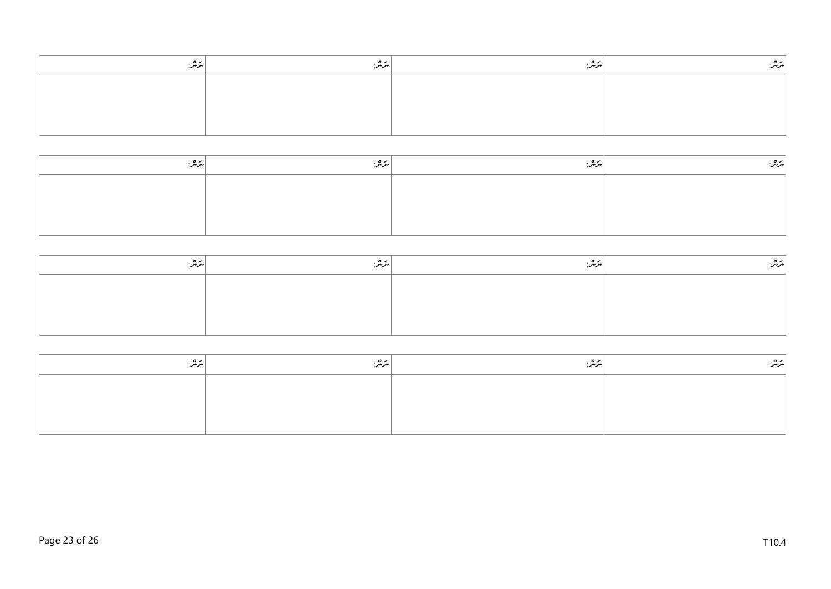| ير هو . | $\overline{\phantom{a}}$ | يرمر | اير هنه. |
|---------|--------------------------|------|----------|
|         |                          |      |          |
|         |                          |      |          |
|         |                          |      |          |

| ىبرىر. | $\sim$<br>ا سرسر . | يئرمثر | o . |
|--------|--------------------|--------|-----|
|        |                    |        |     |
|        |                    |        |     |
|        |                    |        |     |

| الترنثر: | ' مرتكز: | الترنثر: | .,<br>سرسر. |
|----------|----------|----------|-------------|
|          |          |          |             |
|          |          |          |             |
|          |          |          |             |

|  | . ه |
|--|-----|
|  |     |
|  |     |
|  |     |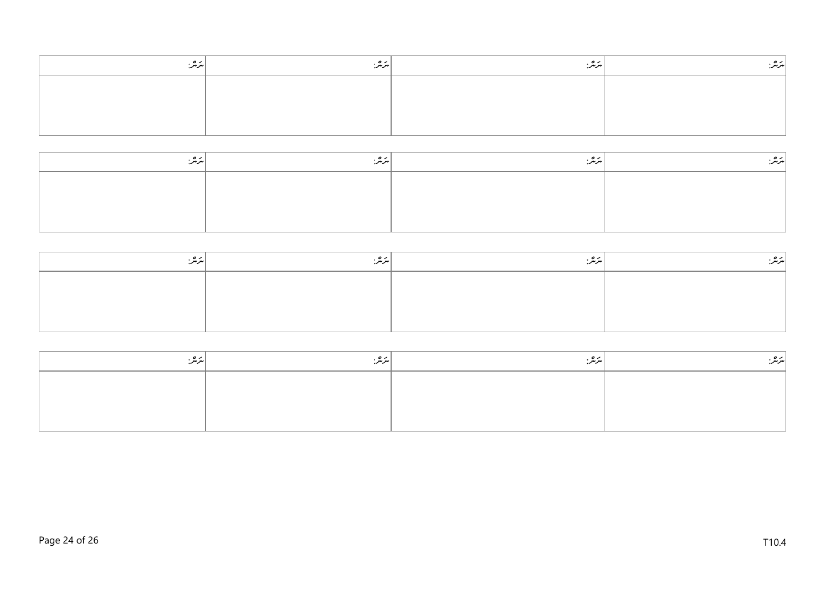| $\cdot$ | 。 | $\frac{\circ}{\cdot}$ | $\sim$<br>سرسر |
|---------|---|-----------------------|----------------|
|         |   |                       |                |
|         |   |                       |                |
|         |   |                       |                |

| يريثن | ' سرسر . |  |
|-------|----------|--|
|       |          |  |
|       |          |  |
|       |          |  |

| بر ه | . ه | $\sim$<br>سرسر |  |
|------|-----|----------------|--|
|      |     |                |  |
|      |     |                |  |
|      |     |                |  |

| 。<br>. س | ىرىىر |  |
|----------|-------|--|
|          |       |  |
|          |       |  |
|          |       |  |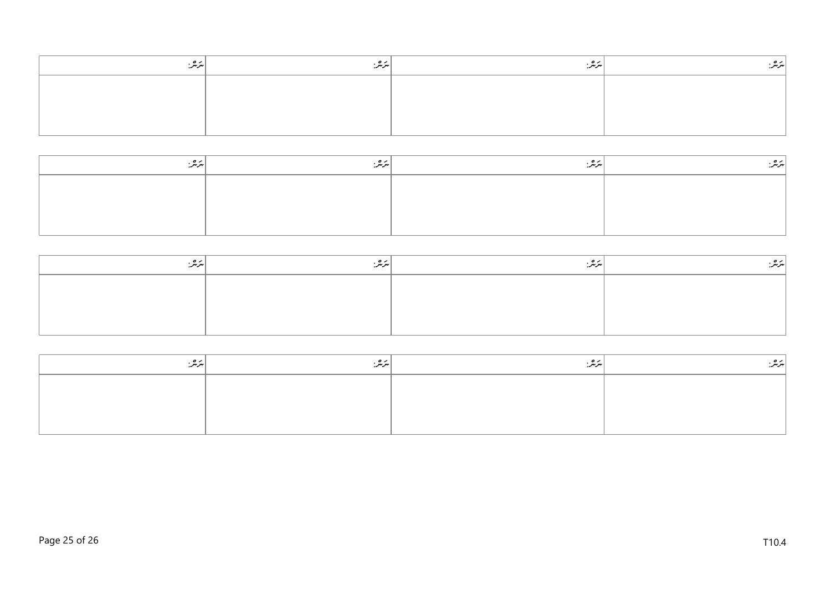| ير هو . | $\overline{\phantom{a}}$ | يرمر | اير هنه. |
|---------|--------------------------|------|----------|
|         |                          |      |          |
|         |                          |      |          |
|         |                          |      |          |

| ىبرىر. | $\sim$<br>ا سرسر . | يئرمثر | o . |
|--------|--------------------|--------|-----|
|        |                    |        |     |
|        |                    |        |     |
|        |                    |        |     |

| الترنثر: | ' مرتكز: | الترنثر: | .,<br>سرس. |
|----------|----------|----------|------------|
|          |          |          |            |
|          |          |          |            |
|          |          |          |            |

|  | . ه |
|--|-----|
|  |     |
|  |     |
|  |     |